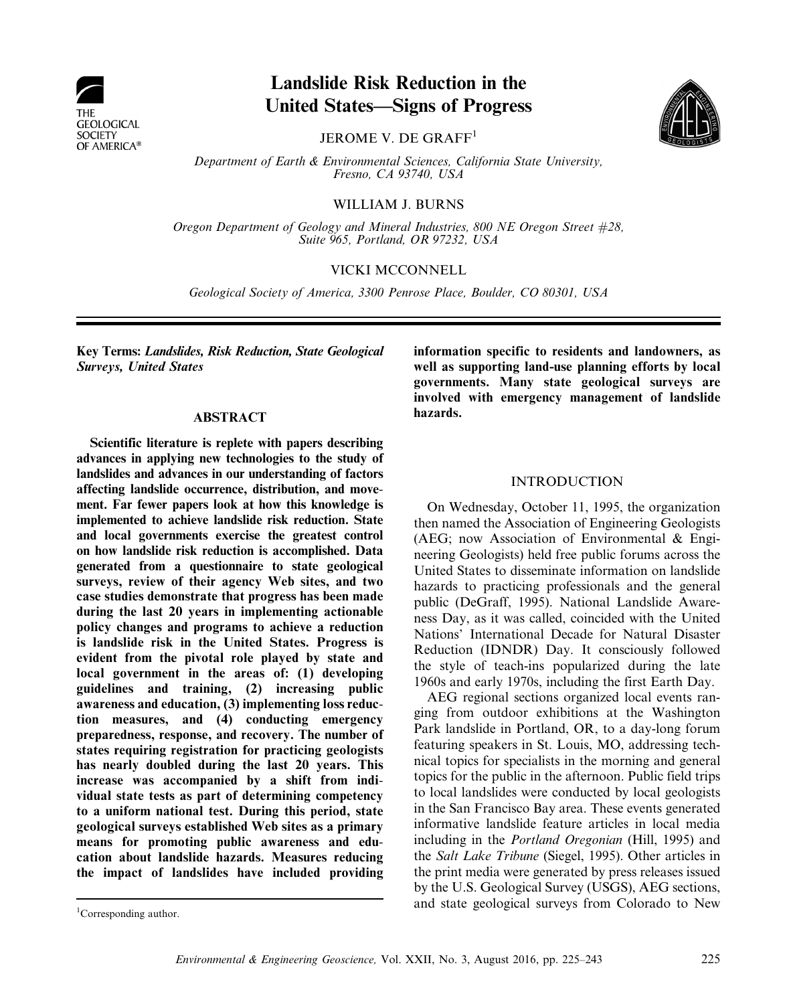

# Landslide Risk Reduction in the United States—Signs of Progress



JEROME V. DE GRAFF<sup>1</sup>

Department of Earth & Environmental Sciences, California State University, Fresno, CA 93740, USA

# WILLIAM J. BURNS

Oregon Department of Geology and Mineral Industries, 800 NE Oregon Street #28, Suite 965, Portland, OR 97232, USA

# VICKI MCCONNELL

Geological Society of America, 3300 Penrose Place, Boulder, CO 80301, USA

Key Terms: Landslides, Risk Reduction, State Geological Surveys, United States

#### ABSTRACT

Scientific literature is replete with papers describing advances in applying new technologies to the study of landslides and advances in our understanding of factors affecting landslide occurrence, distribution, and movement. Far fewer papers look at how this knowledge is implemented to achieve landslide risk reduction. State and local governments exercise the greatest control on how landslide risk reduction is accomplished. Data generated from a questionnaire to state geological surveys, review of their agency Web sites, and two case studies demonstrate that progress has been made during the last 20 years in implementing actionable policy changes and programs to achieve a reduction is landslide risk in the United States. Progress is evident from the pivotal role played by state and local government in the areas of: (1) developing guidelines and training, (2) increasing public awareness and education, (3) implementing loss reduc‐ tion measures, and (4) conducting emergency preparedness, response, and recovery. The number of states requiring registration for practicing geologists has nearly doubled during the last 20 years. This increase was accompanied by a shift from indi‐ vidual state tests as part of determining competency to a uniform national test. During this period, state geological surveys established Web sites as a primary means for promoting public awareness and edu‐ cation about landslide hazards. Measures reducing the impact of landslides have included providing

information specific to residents and landowners, as well as supporting land-use planning efforts by local governments. Many state geological surveys are involved with emergency management of landslide hazards.

#### INTRODUCTION

On Wednesday, October 11, 1995, the organization then named the Association of Engineering Geologists (AEG; now Association of Environmental & Engineering Geologists) held free public forums across the United States to disseminate information on landslide hazards to practicing professionals and the general public (DeGraff, 1995). National Landslide Awareness Day, as it was called, coincided with the United Nations' International Decade for Natural Disaster Reduction (IDNDR) Day. It consciously followed the style of teach-ins popularized during the late 1960s and early 1970s, including the first Earth Day.

AEG regional sections organized local events ranging from outdoor exhibitions at the Washington Park landslide in Portland, OR, to a day-long forum featuring speakers in St. Louis, MO, addressing technical topics for specialists in the morning and general topics for the public in the afternoon. Public field trips to local landslides were conducted by local geologists in the San Francisco Bay area. These events generated informative landslide feature articles in local media including in the Portland Oregonian (Hill, 1995) and the Salt Lake Tribune (Siegel, 1995). Other articles in the print media were generated by press releases issued by the U.S. Geological Survey (USGS), AEG sections, <sup>1</sup>Corresponding author. **Example 2018** and state geological surveys from Colorado to New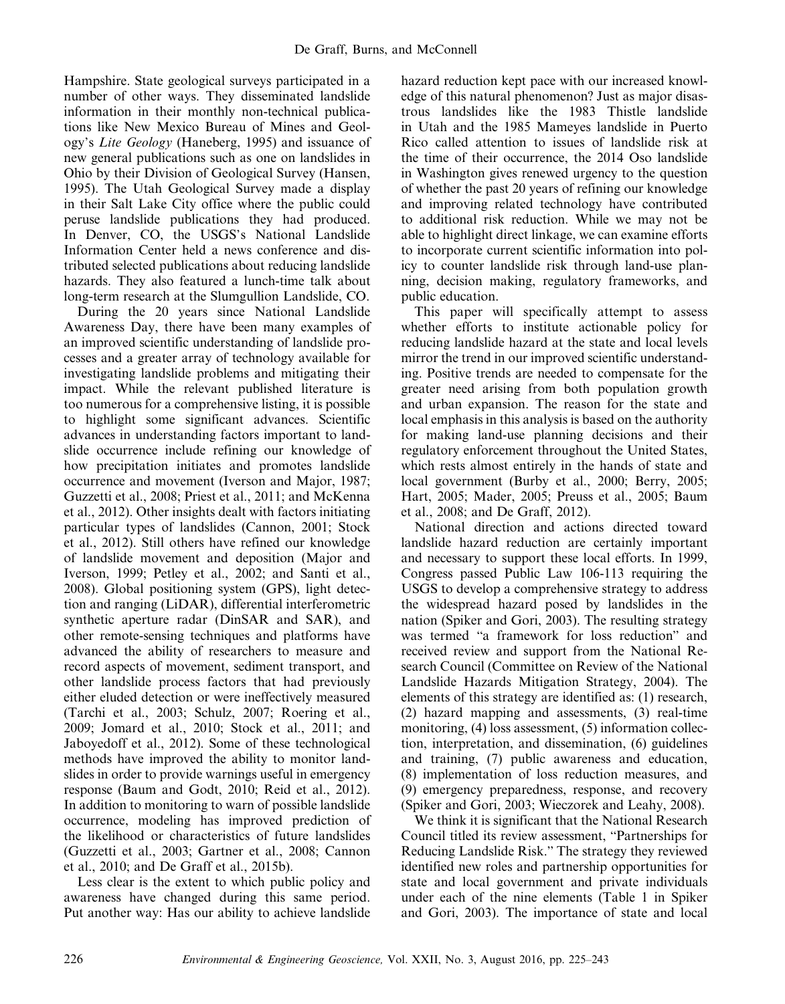Hampshire. State geological surveys participated in a number of other ways. They disseminated landslide information in their monthly non-technical publications like New Mexico Bureau of Mines and Geology's Lite Geology (Haneberg, 1995) and issuance of new general publications such as one on landslides in Ohio by their Division of Geological Survey (Hansen, 1995). The Utah Geological Survey made a display in their Salt Lake City office where the public could peruse landslide publications they had produced. In Denver, CO, the USGS's National Landslide Information Center held a news conference and distributed selected publications about reducing landslide hazards. They also featured a lunch-time talk about long-term research at the Slumgullion Landslide, CO.

During the 20 years since National Landslide Awareness Day, there have been many examples of an improved scientific understanding of landslide processes and a greater array of technology available for investigating landslide problems and mitigating their impact. While the relevant published literature is too numerous for a comprehensive listing, it is possible to highlight some significant advances. Scientific advances in understanding factors important to landslide occurrence include refining our knowledge of how precipitation initiates and promotes landslide occurrence and movement (Iverson and Major, 1987; Guzzetti et al., 2008; Priest et al., 2011; and McKenna et al., 2012). Other insights dealt with factors initiating particular types of landslides (Cannon, 2001; Stock et al., 2012). Still others have refined our knowledge of landslide movement and deposition (Major and Iverson, 1999; Petley et al., 2002; and Santi et al., 2008). Global positioning system (GPS), light detection and ranging (LiDAR), differential interferometric synthetic aperture radar (DinSAR and SAR), and other remote-sensing techniques and platforms have advanced the ability of researchers to measure and record aspects of movement, sediment transport, and other landslide process factors that had previously either eluded detection or were ineffectively measured (Tarchi et al., 2003; Schulz, 2007; Roering et al., 2009; Jomard et al., 2010; Stock et al., 2011; and Jaboyedoff et al., 2012). Some of these technological methods have improved the ability to monitor landslides in order to provide warnings useful in emergency response (Baum and Godt, 2010; Reid et al., 2012). In addition to monitoring to warn of possible landslide occurrence, modeling has improved prediction of the likelihood or characteristics of future landslides (Guzzetti et al., 2003; Gartner et al., 2008; Cannon et al., 2010; and De Graff et al., 2015b).

Less clear is the extent to which public policy and awareness have changed during this same period. Put another way: Has our ability to achieve landslide

hazard reduction kept pace with our increased knowledge of this natural phenomenon? Just as major disastrous landslides like the 1983 Thistle landslide in Utah and the 1985 Mameyes landslide in Puerto Rico called attention to issues of landslide risk at the time of their occurrence, the 2014 Oso landslide in Washington gives renewed urgency to the question of whether the past 20 years of refining our knowledge and improving related technology have contributed to additional risk reduction. While we may not be able to highlight direct linkage, we can examine efforts to incorporate current scientific information into policy to counter landslide risk through land-use planning, decision making, regulatory frameworks, and public education.

This paper will specifically attempt to assess whether efforts to institute actionable policy for reducing landslide hazard at the state and local levels mirror the trend in our improved scientific understanding. Positive trends are needed to compensate for the greater need arising from both population growth and urban expansion. The reason for the state and local emphasis in this analysis is based on the authority for making land-use planning decisions and their regulatory enforcement throughout the United States, which rests almost entirely in the hands of state and local government (Burby et al., 2000; Berry, 2005; Hart, 2005; Mader, 2005; Preuss et al., 2005; Baum et al., 2008; and De Graff, 2012).

National direction and actions directed toward landslide hazard reduction are certainly important and necessary to support these local efforts. In 1999, Congress passed Public Law 106-113 requiring the USGS to develop a comprehensive strategy to address the widespread hazard posed by landslides in the nation (Spiker and Gori, 2003). The resulting strategy was termed "a framework for loss reduction" and received review and support from the National Re‐ search Council (Committee on Review of the National Landslide Hazards Mitigation Strategy, 2004). The elements of this strategy are identified as: (1) research, (2) hazard mapping and assessments, (3) real-time monitoring, (4) loss assessment, (5) information collection, interpretation, and dissemination, (6) guidelines and training, (7) public awareness and education, (8) implementation of loss reduction measures, and (9) emergency preparedness, response, and recovery (Spiker and Gori, 2003; Wieczorek and Leahy, 2008).

We think it is significant that the National Research Council titled its review assessment, "Partnerships for Reducing Landslide Risk." The strategy they reviewed identified new roles and partnership opportunities for state and local government and private individuals under each of the nine elements (Table 1 in Spiker and Gori, 2003). The importance of state and local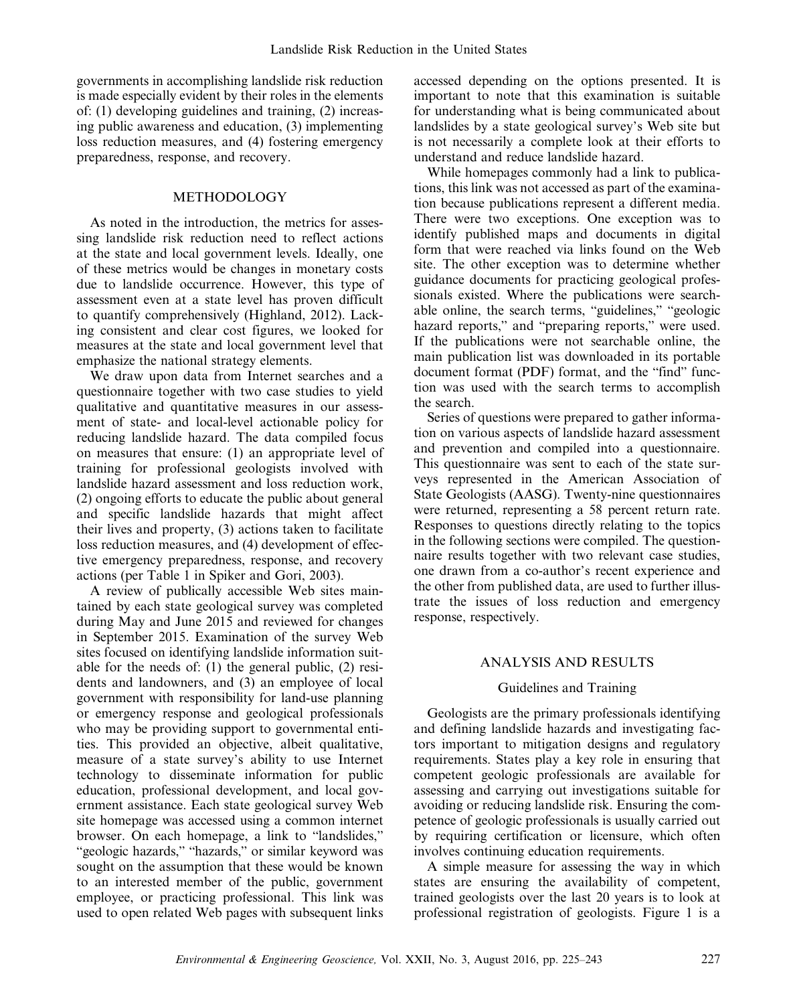governments in accomplishing landslide risk reduction is made especially evident by their roles in the elements of: (1) developing guidelines and training, (2) increasing public awareness and education, (3) implementing loss reduction measures, and (4) fostering emergency preparedness, response, and recovery.

#### METHODOLOGY

As noted in the introduction, the metrics for assessing landslide risk reduction need to reflect actions at the state and local government levels. Ideally, one of these metrics would be changes in monetary costs due to landslide occurrence. However, this type of assessment even at a state level has proven difficult to quantify comprehensively (Highland, 2012). Lacking consistent and clear cost figures, we looked for measures at the state and local government level that emphasize the national strategy elements.

We draw upon data from Internet searches and a questionnaire together with two case studies to yield qualitative and quantitative measures in our assessment of state- and local-level actionable policy for reducing landslide hazard. The data compiled focus on measures that ensure: (1) an appropriate level of training for professional geologists involved with landslide hazard assessment and loss reduction work, (2) ongoing efforts to educate the public about general and specific landslide hazards that might affect their lives and property, (3) actions taken to facilitate loss reduction measures, and (4) development of effective emergency preparedness, response, and recovery actions (per Table 1 in Spiker and Gori, 2003).

A review of publically accessible Web sites maintained by each state geological survey was completed during May and June 2015 and reviewed for changes in September 2015. Examination of the survey Web sites focused on identifying landslide information suit‐ able for the needs of: (1) the general public, (2) residents and landowners, and (3) an employee of local government with responsibility for land-use planning or emergency response and geological professionals who may be providing support to governmental entities. This provided an objective, albeit qualitative, measure of a state survey's ability to use Internet technology to disseminate information for public education, professional development, and local government assistance. Each state geological survey Web site homepage was accessed using a common internet browser. On each homepage, a link to "landslides," "geologic hazards," "hazards," or similar keyword was sought on the assumption that these would be known to an interested member of the public, government employee, or practicing professional. This link was used to open related Web pages with subsequent links accessed depending on the options presented. It is important to note that this examination is suitable for understanding what is being communicated about landslides by a state geological survey's Web site but is not necessarily a complete look at their efforts to understand and reduce landslide hazard.

While homepages commonly had a link to publications, this link was not accessed as part of the examination because publications represent a different media. There were two exceptions. One exception was to identify published maps and documents in digital form that were reached via links found on the Web site. The other exception was to determine whether guidance documents for practicing geological professionals existed. Where the publications were searchable online, the search terms, "guidelines," "geologic hazard reports," and "preparing reports," were used. If the publications were not searchable online, the main publication list was downloaded in its portable document format (PDF) format, and the "find" function was used with the search terms to accomplish the search.

Series of questions were prepared to gather information on various aspects of landslide hazard assessment and prevention and compiled into a questionnaire. This questionnaire was sent to each of the state sur‐ veys represented in the American Association of State Geologists (AASG). Twenty-nine questionnaires were returned, representing a 58 percent return rate. Responses to questions directly relating to the topics in the following sections were compiled. The questionnaire results together with two relevant case studies, one drawn from a co-author's recent experience and the other from published data, are used to further illustrate the issues of loss reduction and emergency response, respectively.

# ANALYSIS AND RESULTS

# Guidelines and Training

Geologists are the primary professionals identifying and defining landslide hazards and investigating factors important to mitigation designs and regulatory requirements. States play a key role in ensuring that competent geologic professionals are available for assessing and carrying out investigations suitable for avoiding or reducing landslide risk. Ensuring the competence of geologic professionals is usually carried out by requiring certification or licensure, which often involves continuing education requirements.

A simple measure for assessing the way in which states are ensuring the availability of competent, trained geologists over the last 20 years is to look at professional registration of geologists. Figure 1 is a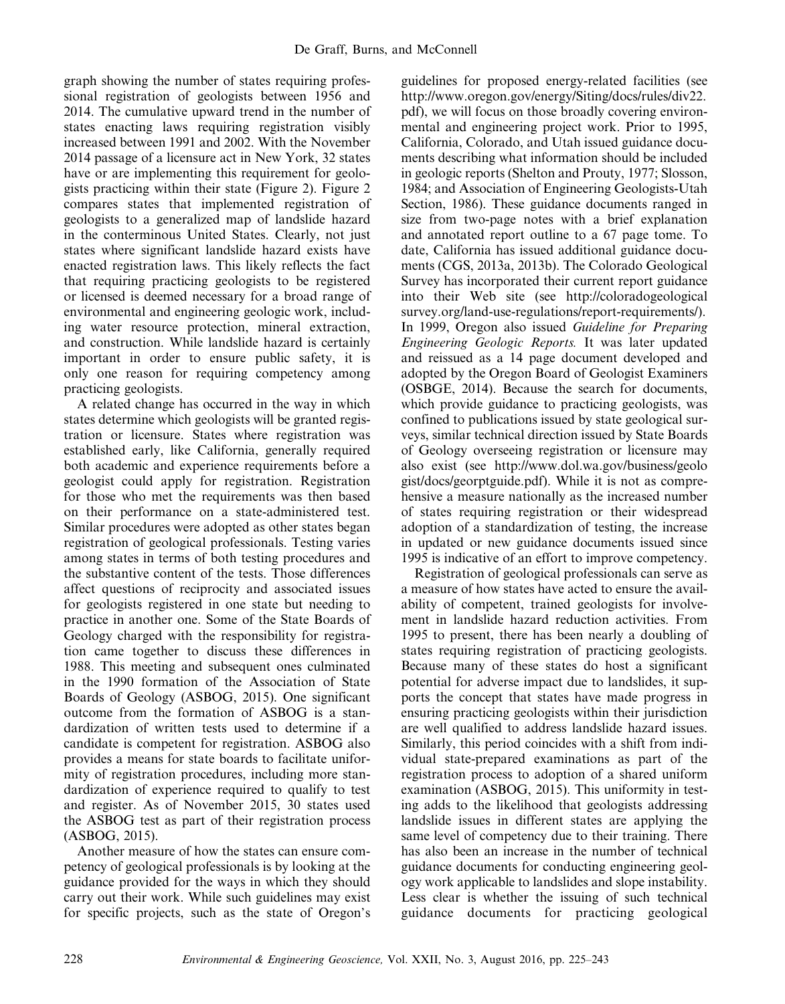graph showing the number of states requiring professional registration of geologists between 1956 and 2014. The cumulative upward trend in the number of states enacting laws requiring registration visibly increased between 1991 and 2002. With the November 2014 passage of a licensure act in New York, 32 states have or are implementing this requirement for geologists practicing within their state (Figure 2). Figure 2 compares states that implemented registration of geologists to a generalized map of landslide hazard in the conterminous United States. Clearly, not just states where significant landslide hazard exists have enacted registration laws. This likely reflects the fact that requiring practicing geologists to be registered or licensed is deemed necessary for a broad range of environmental and engineering geologic work, including water resource protection, mineral extraction, and construction. While landslide hazard is certainly important in order to ensure public safety, it is only one reason for requiring competency among practicing geologists.

A related change has occurred in the way in which states determine which geologists will be granted registration or licensure. States where registration was established early, like California, generally required both academic and experience requirements before a geologist could apply for registration. Registration for those who met the requirements was then based on their performance on a state-administered test. Similar procedures were adopted as other states began registration of geological professionals. Testing varies among states in terms of both testing procedures and the substantive content of the tests. Those differences affect questions of reciprocity and associated issues for geologists registered in one state but needing to practice in another one. Some of the State Boards of Geology charged with the responsibility for registration came together to discuss these differences in 1988. This meeting and subsequent ones culminated in the 1990 formation of the Association of State Boards of Geology (ASBOG, 2015). One significant outcome from the formation of ASBOG is a stan‐ dardization of written tests used to determine if a candidate is competent for registration. ASBOG also provides a means for state boards to facilitate uniformity of registration procedures, including more standardization of experience required to qualify to test and register. As of November 2015, 30 states used the ASBOG test as part of their registration process (ASBOG, 2015).

Another measure of how the states can ensure competency of geological professionals is by looking at the guidance provided for the ways in which they should carry out their work. While such guidelines may exist for specific projects, such as the state of Oregon's guidelines for proposed energy-related facilities (see http://www.oregon.gov/energy/Siting/docs/rules/div22. pdf), we will focus on those broadly covering environmental and engineering project work. Prior to 1995, California, Colorado, and Utah issued guidance documents describing what information should be included in geologic reports (Shelton and Prouty, 1977; Slosson, 1984; and Association of Engineering Geologists-Utah Section, 1986). These guidance documents ranged in size from two-page notes with a brief explanation and annotated report outline to a 67 page tome. To date, California has issued additional guidance documents (CGS, 2013a, 2013b). The Colorado Geological Survey has incorporated their current report guidance into their Web site (see http://coloradogeological survey.org/land-use-regulations/report-requirements/). In 1999, Oregon also issued Guideline for Preparing Engineering Geologic Reports. It was later updated and reissued as a 14 page document developed and adopted by the Oregon Board of Geologist Examiners (OSBGE, 2014). Because the search for documents, which provide guidance to practicing geologists, was confined to publications issued by state geological surveys, similar technical direction issued by State Boards of Geology overseeing registration or licensure may also exist (see http://www.dol.wa.gov/business/geolo gist/docs/georptguide.pdf). While it is not as comprehensive a measure nationally as the increased number of states requiring registration or their widespread adoption of a standardization of testing, the increase in updated or new guidance documents issued since 1995 is indicative of an effort to improve competency.

Registration of geological professionals can serve as a measure of how states have acted to ensure the availability of competent, trained geologists for involvement in landslide hazard reduction activities. From 1995 to present, there has been nearly a doubling of states requiring registration of practicing geologists. Because many of these states do host a significant potential for adverse impact due to landslides, it supports the concept that states have made progress in ensuring practicing geologists within their jurisdiction are well qualified to address landslide hazard issues. Similarly, this period coincides with a shift from individual state-prepared examinations as part of the registration process to adoption of a shared uniform examination (ASBOG, 2015). This uniformity in testing adds to the likelihood that geologists addressing landslide issues in different states are applying the same level of competency due to their training. There has also been an increase in the number of technical guidance documents for conducting engineering geology work applicable to landslides and slope instability. Less clear is whether the issuing of such technical guidance documents for practicing geological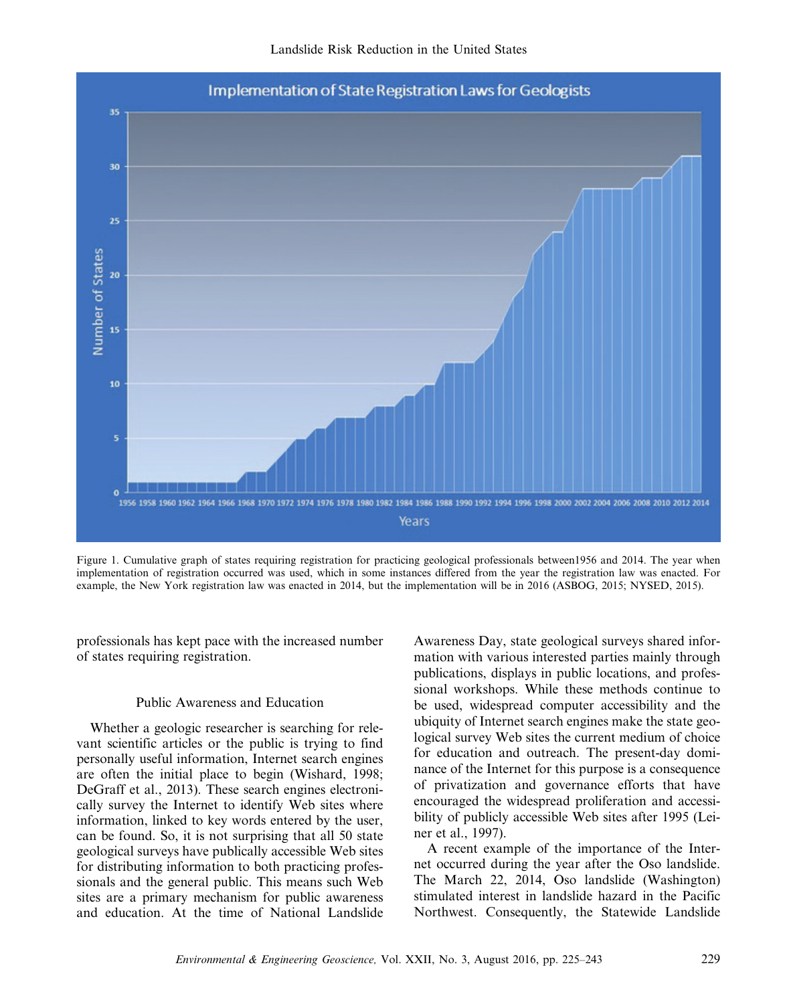

Figure 1. Cumulative graph of states requiring registration for practicing geological professionals between1956 and 2014. The year when implementation of registration occurred was used, which in some instances differed from the year the registration law was enacted. For example, the New York registration law was enacted in 2014, but the implementation will be in 2016 (ASBOG, 2015; NYSED, 2015).

professionals has kept pace with the increased number of states requiring registration.

#### Public Awareness and Education

Whether a geologic researcher is searching for relevant scientific articles or the public is trying to find personally useful information, Internet search engines are often the initial place to begin (Wishard, 1998; DeGraff et al., 2013). These search engines electronically survey the Internet to identify Web sites where information, linked to key words entered by the user, can be found. So, it is not surprising that all 50 state geological surveys have publically accessible Web sites for distributing information to both practicing professionals and the general public. This means such Web sites are a primary mechanism for public awareness and education. At the time of National Landslide Awareness Day, state geological surveys shared information with various interested parties mainly through publications, displays in public locations, and professional workshops. While these methods continue to be used, widespread computer accessibility and the ubiquity of Internet search engines make the state geological survey Web sites the current medium of choice for education and outreach. The present-day dominance of the Internet for this purpose is a consequence of privatization and governance efforts that have encouraged the widespread proliferation and accessibility of publicly accessible Web sites after 1995 (Leiner et al., 1997).

A recent example of the importance of the Internet occurred during the year after the Oso landslide. The March 22, 2014, Oso landslide (Washington) stimulated interest in landslide hazard in the Pacific Northwest. Consequently, the Statewide Landslide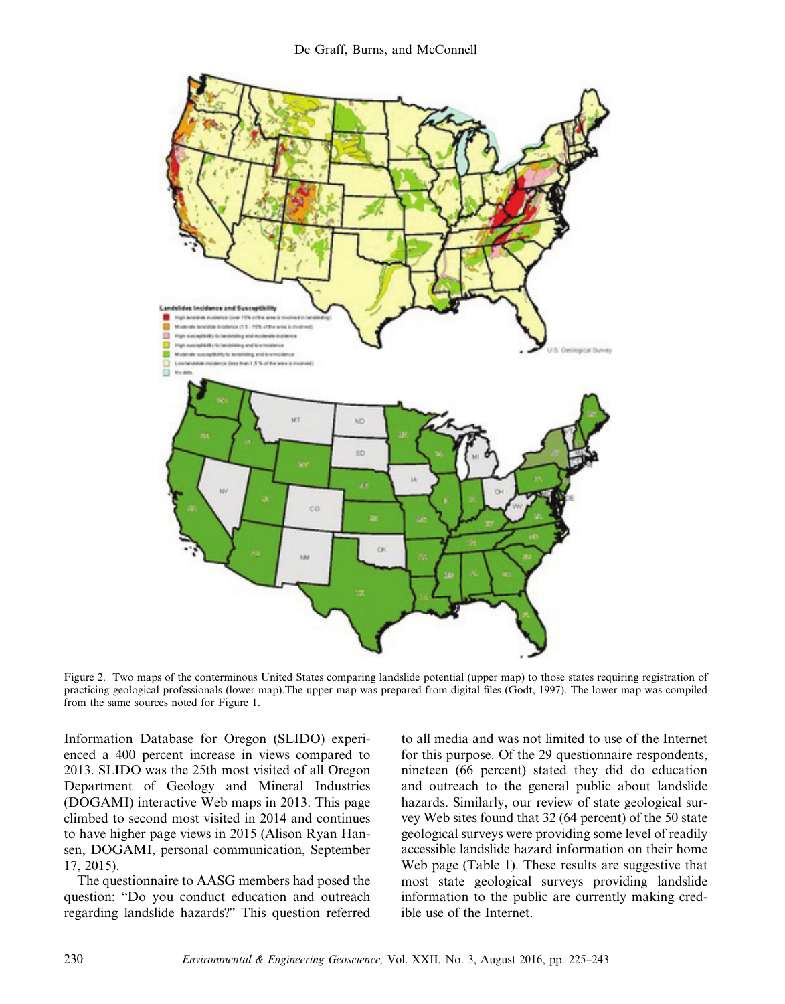

Figure 2. Two maps of the conterminous United States comparing landslide potential (upper map) to those states requiring registration of practicing geological professionals (lower map).The upper map was prepared from digital files (Godt, 1997). The lower map was compiled from the same sources noted for Figure 1.

Information Database for Oregon (SLIDO) experienced a 400 percent increase in views compared to 2013. SLIDO was the 25th most visited of all Oregon Department of Geology and Mineral Industries (DOGAMI) interactive Web maps in 2013. This page climbed to second most visited in 2014 and continues to have higher page views in 2015 (Alison Ryan Hansen, DOGAMI, personal communication, September 17, 2015).

The questionnaire to AASG members had posed the question: "Do you conduct education and outreach regarding landslide hazards?" This question referred to all media and was not limited to use of the Internet for this purpose. Of the 29 questionnaire respondents, nineteen (66 percent) stated they did do education and outreach to the general public about landslide hazards. Similarly, our review of state geological survey Web sites found that 32 (64 percent) of the 50 state geological surveys were providing some level of readily accessible landslide hazard information on their home Web page (Table 1). These results are suggestive that most state geological surveys providing landslide information to the public are currently making credible use of the Internet.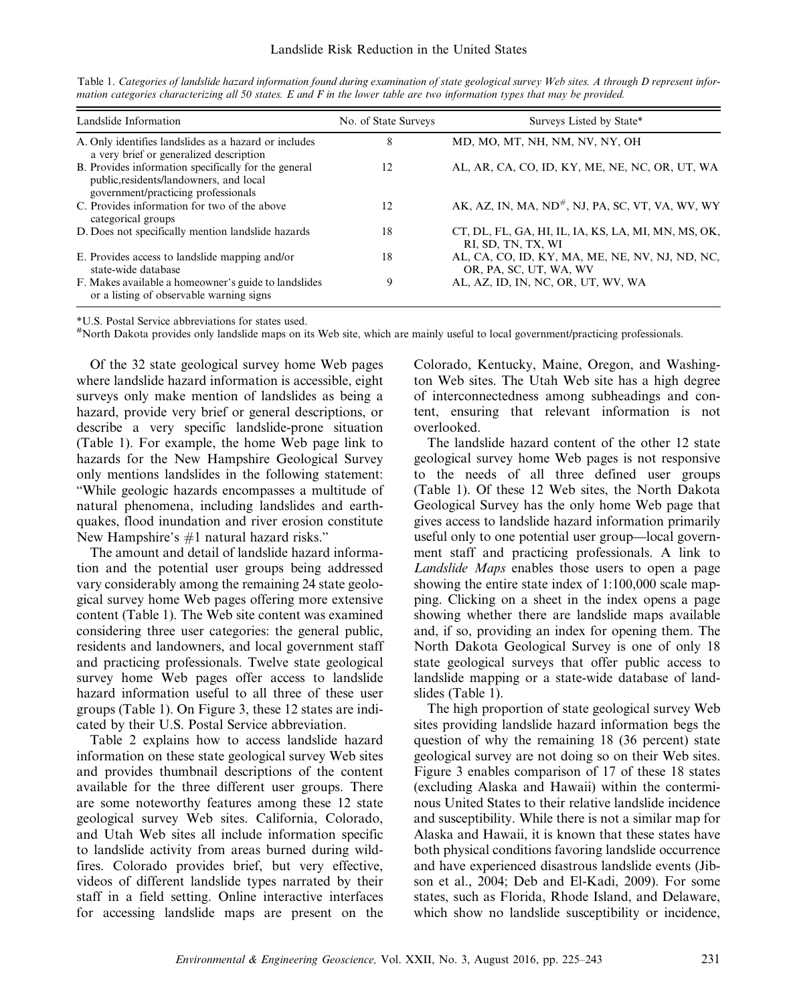| Landslide Information                                                                                                                  | No. of State Surveys | Surveys Listed by State*                                                  |
|----------------------------------------------------------------------------------------------------------------------------------------|----------------------|---------------------------------------------------------------------------|
| A. Only identifies landslides as a hazard or includes<br>a very brief or generalized description                                       | 8                    | MD, MO, MT, NH, NM, NV, NY, OH                                            |
| B. Provides information specifically for the general<br>public, residents/landowners, and local<br>government/practicing professionals | 12                   | AL, AR, CA, CO, ID, KY, ME, NE, NC, OR, UT, WA                            |
| C. Provides information for two of the above<br>categorical groups                                                                     | 12                   | AK, AZ, IN, MA, $ND^{\#}$ , NJ, PA, SC, VT, VA, WV, WY                    |
| D. Does not specifically mention landslide hazards                                                                                     | 18                   | CT, DL, FL, GA, HI, IL, IA, KS, LA, MI, MN, MS, OK,<br>RI, SD, TN, TX, WI |
| E. Provides access to landslide mapping and/or<br>state-wide database                                                                  | 18                   | AL, CA, CO, ID, KY, MA, ME, NE, NV, NJ, ND, NC,<br>OR, PA, SC, UT, WA, WV |
| F. Makes available a homeowner's guide to landslides<br>or a listing of observable warning signs                                       | 9                    | AL, AZ, ID, IN, NC, OR, UT, WV, WA                                        |

Table 1. Categories of landslide hazard information found during examination of state geological survey Web sites. A through D represent information categories characterizing all 50 states. E and F in the lower table are two information types that may be provided.

\*U.S. Postal Service abbreviations for states used.

#North Dakota provides only landslide maps on its Web site, which are mainly useful to local government/practicing professionals.

Of the 32 state geological survey home Web pages where landslide hazard information is accessible, eight surveys only make mention of landslides as being a hazard, provide very brief or general descriptions, or describe a very specific landslide-prone situation (Table 1). For example, the home Web page link to hazards for the New Hampshire Geological Survey only mentions landslides in the following statement: "While geologic hazards encompasses a multitude of natural phenomena, including landslides and earthquakes, flood inundation and river erosion constitute New Hampshire's #1 natural hazard risks."

The amount and detail of landslide hazard information and the potential user groups being addressed vary considerably among the remaining 24 state geological survey home Web pages offering more extensive content (Table 1). The Web site content was examined considering three user categories: the general public, residents and landowners, and local government staff and practicing professionals. Twelve state geological survey home Web pages offer access to landslide hazard information useful to all three of these user groups (Table 1). On Figure 3, these 12 states are indicated by their U.S. Postal Service abbreviation.

Table 2 explains how to access landslide hazard information on these state geological survey Web sites and provides thumbnail descriptions of the content available for the three different user groups. There are some noteworthy features among these 12 state geological survey Web sites. California, Colorado, and Utah Web sites all include information specific to landslide activity from areas burned during wildfires. Colorado provides brief, but very effective, videos of different landslide types narrated by their staff in a field setting. Online interactive interfaces for accessing landslide maps are present on the Colorado, Kentucky, Maine, Oregon, and Washington Web sites. The Utah Web site has a high degree of interconnectedness among subheadings and content, ensuring that relevant information is not overlooked.

The landslide hazard content of the other 12 state geological survey home Web pages is not responsive to the needs of all three defined user groups (Table 1). Of these 12 Web sites, the North Dakota Geological Survey has the only home Web page that gives access to landslide hazard information primarily useful only to one potential user group—local government staff and practicing professionals. A link to Landslide Maps enables those users to open a page showing the entire state index of 1:100,000 scale mapping. Clicking on a sheet in the index opens a page showing whether there are landslide maps available and, if so, providing an index for opening them. The North Dakota Geological Survey is one of only 18 state geological surveys that offer public access to landslide mapping or a state-wide database of landslides (Table 1).

The high proportion of state geological survey Web sites providing landslide hazard information begs the question of why the remaining 18 (36 percent) state geological survey are not doing so on their Web sites. Figure 3 enables comparison of 17 of these 18 states (excluding Alaska and Hawaii) within the conterminous United States to their relative landslide incidence and susceptibility. While there is not a similar map for Alaska and Hawaii, it is known that these states have both physical conditions favoring landslide occurrence and have experienced disastrous landslide events (Jibson et al., 2004; Deb and El-Kadi, 2009). For some states, such as Florida, Rhode Island, and Delaware, which show no landslide susceptibility or incidence,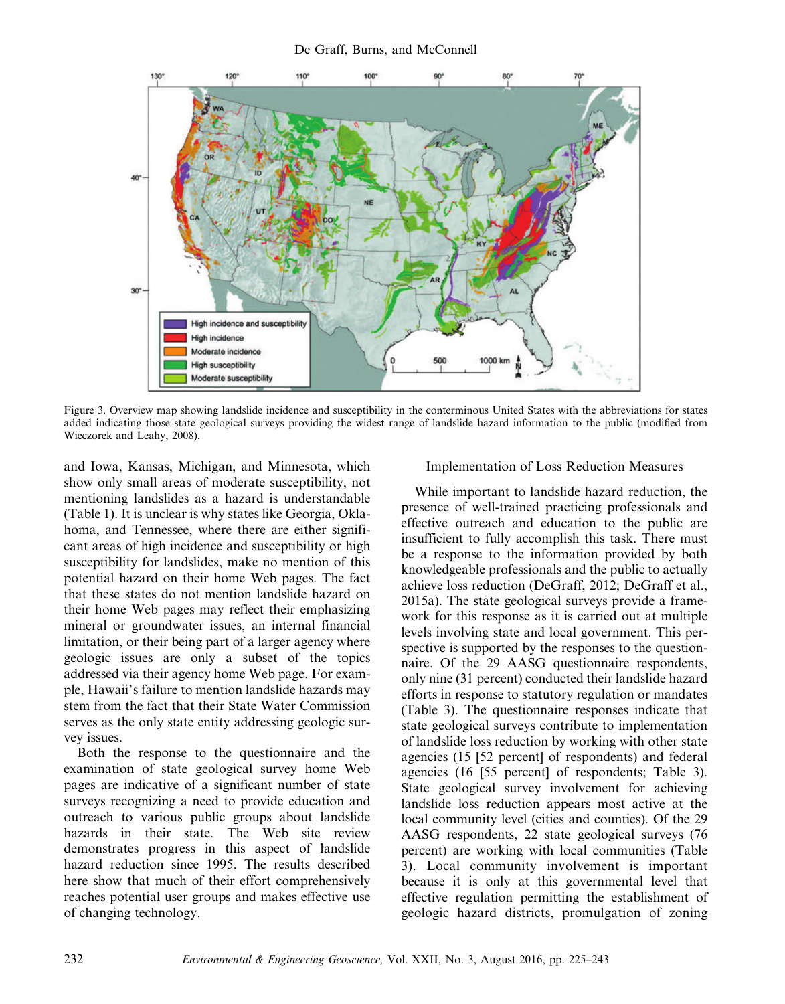

Figure 3. Overview map showing landslide incidence and susceptibility in the conterminous United States with the abbreviations for states added indicating those state geological surveys providing the widest range of landslide hazard information to the public (modified from Wieczorek and Leahy, 2008).

and Iowa, Kansas, Michigan, and Minnesota, which show only small areas of moderate susceptibility, not mentioning landslides as a hazard is understandable (Table 1). It is unclear is why states like Georgia, Oklahoma, and Tennessee, where there are either significant areas of high incidence and susceptibility or high susceptibility for landslides, make no mention of this potential hazard on their home Web pages. The fact that these states do not mention landslide hazard on their home Web pages may reflect their emphasizing mineral or groundwater issues, an internal financial limitation, or their being part of a larger agency where geologic issues are only a subset of the topics addressed via their agency home Web page. For example, Hawaii's failure to mention landslide hazards may stem from the fact that their State Water Commission serves as the only state entity addressing geologic survey issues.

Both the response to the questionnaire and the examination of state geological survey home Web pages are indicative of a significant number of state surveys recognizing a need to provide education and outreach to various public groups about landslide hazards in their state. The Web site review demonstrates progress in this aspect of landslide hazard reduction since 1995. The results described here show that much of their effort comprehensively reaches potential user groups and makes effective use of changing technology.

# Implementation of Loss Reduction Measures

While important to landslide hazard reduction, the presence of well-trained practicing professionals and effective outreach and education to the public are insufficient to fully accomplish this task. There must be a response to the information provided by both knowledgeable professionals and the public to actually achieve loss reduction (DeGraff, 2012; DeGraff et al., 2015a). The state geological surveys provide a framework for this response as it is carried out at multiple levels involving state and local government. This perspective is supported by the responses to the questionnaire. Of the 29 AASG questionnaire respondents, only nine (31 percent) conducted their landslide hazard efforts in response to statutory regulation or mandates (Table 3). The questionnaire responses indicate that state geological surveys contribute to implementation of landslide loss reduction by working with other state agencies (15 [52 percent] of respondents) and federal agencies (16 [55 percent] of respondents; Table 3). State geological survey involvement for achieving landslide loss reduction appears most active at the local community level (cities and counties). Of the 29 AASG respondents, 22 state geological surveys (76 percent) are working with local communities (Table 3). Local community involvement is important because it is only at this governmental level that effective regulation permitting the establishment of geologic hazard districts, promulgation of zoning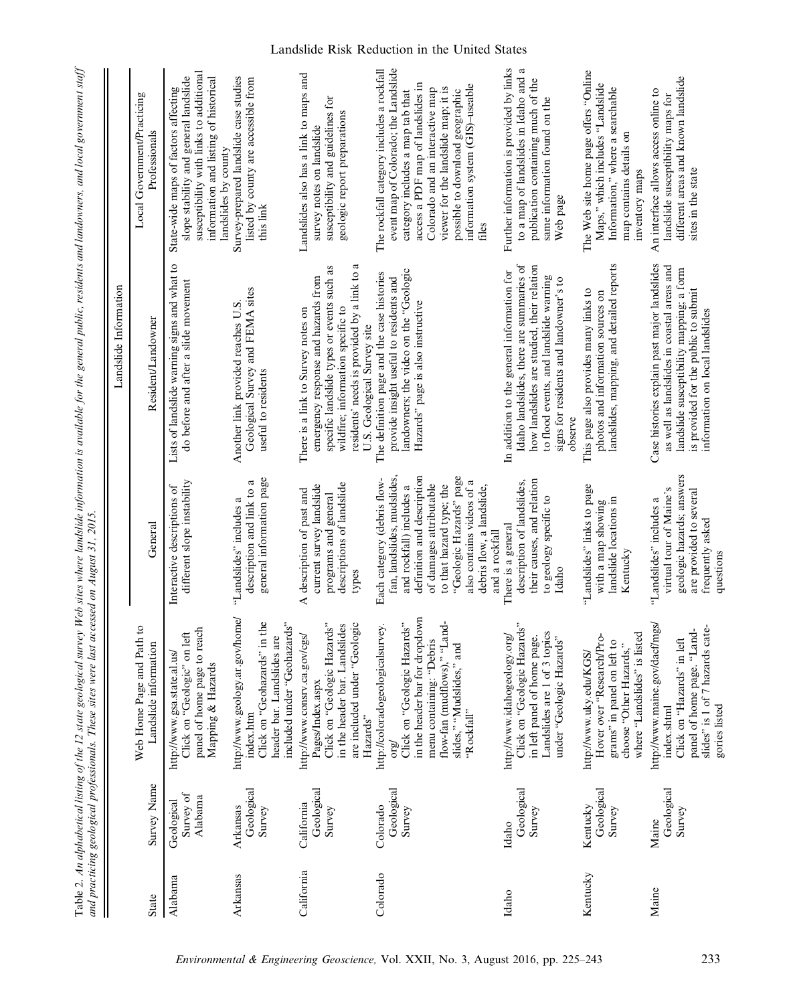|            |                                    | and practicing geological professionals. These sites were last accessed on August 31, 2015.                                                                                                                          |                                                                                                                                                                                                                                                                                    | Table 2. An alphabetical listing of the 12 state geological survey Web sites where landslide information is available for the general public, residents and landowners, and local government staff                                            |                                                                                                                                                                                                                                                                                                                      |
|------------|------------------------------------|----------------------------------------------------------------------------------------------------------------------------------------------------------------------------------------------------------------------|------------------------------------------------------------------------------------------------------------------------------------------------------------------------------------------------------------------------------------------------------------------------------------|-----------------------------------------------------------------------------------------------------------------------------------------------------------------------------------------------------------------------------------------------|----------------------------------------------------------------------------------------------------------------------------------------------------------------------------------------------------------------------------------------------------------------------------------------------------------------------|
|            |                                    |                                                                                                                                                                                                                      |                                                                                                                                                                                                                                                                                    | Landslide Information                                                                                                                                                                                                                         |                                                                                                                                                                                                                                                                                                                      |
| State      | Survey Name                        | $\circ$<br>Web Home Page and Path<br>Landslide information                                                                                                                                                           | General                                                                                                                                                                                                                                                                            | Resident/Landowner                                                                                                                                                                                                                            | Local Government/Practicing<br>Professionals                                                                                                                                                                                                                                                                         |
| Alabama    | Survey of<br>Alabama<br>Geological | panel of home page to reach<br>Click on "Geologic" on left<br>http://www.gsa.state.al.us/<br>Mapping & Hazards                                                                                                       | different slope instability<br>Interactive descriptions of                                                                                                                                                                                                                         | Lists of landslide warning signs and what to<br>do before and after a slide movement                                                                                                                                                          | susceptibility with links to additional<br>information and listing of historical<br>slope stability and general landslide<br>State-wide maps of factors affecting<br>landslides by county                                                                                                                            |
| Arkansas   | Geological<br>Arkansas<br>Survey   | http://www.geology.ar.gov/home/<br>the<br>included under "Geohazards"<br>header bar. Landslides are<br>Click on "Geohazards" in<br>index.htm                                                                         | general information page<br>description and link to a<br>"Landslides" includes a                                                                                                                                                                                                   | Geological Survey and FEMA sites<br>Another link provided reaches U.S.<br>useful to residents                                                                                                                                                 | Survey-prepared landslide case studies<br>listed by county are accessible from<br>this link                                                                                                                                                                                                                          |
| California | Geological<br>California<br>Survey | are included under "Geologic<br>Click on "Geologic Hazards"<br>in the header bar. Landslides<br>http://www.consrv.ca.gov/cgs<br>Pages/Index.aspx<br>Hazards"                                                         | descriptions of landslide<br>current survey landslide<br>A description of past and<br>programs and general<br>types                                                                                                                                                                | ದ<br>specific landslide types or events such as<br>residents' needs is provided by a link to<br>emergency response and hazards from<br>wildfire; information specific to<br>There is a link to Survey notes on<br>U.S. Geological Survey site | Landslides also has a link to maps and<br>susceptibility and guidelines for<br>geologic report preparations<br>survey notes on landslide                                                                                                                                                                             |
| Colorado   | Geological<br>Colorado<br>Survey   | in the header bar for dropdown<br>flow-fan (mudflows)," "Land-<br>Click on "Geologic Hazards"<br>http://coloradogeologicalsurvey.<br>menu containing: "Debris<br>slides," "Mudslides," and<br>"Rockfall"<br>$\alpha$ | definition and description<br>"Geologic Hazards" page<br>fan, landslides, mudslides,<br>Each category (debris flow-<br>also contains videos of a<br>of damages attributable<br>to that hazard type; the<br>and rockfall) includes a<br>debris flow, a landslide,<br>and a rockfall | landowners; the video on the "Geologic<br>The definition page and the case histories<br>provide insight useful to residents and<br>Hazards" page is also instructive                                                                          | event map of Colorado; the Landslide<br>The rockfall category includes a rockfall<br>access a PDF map of landslides in<br>information system (GIS)-useable<br>viewer for the landslide map; it is<br>Colorado and an interactive map<br>possible to download geographic<br>category includes a map tab that<br>files |
| Idaho      | Geological<br>Survey<br>Idaho      | Click on "Geologic Hazards"<br>Landslides are 1 of 3 topics<br>http://www.idahogeology.org/<br>in left panel of home page.<br>under "Geologic Hazards"                                                               | their causes, and relation<br>description of landslides.<br>to geology specific to<br>There is a general<br>Idaho                                                                                                                                                                  | Idaho landslides, there are summaries of<br>how landslides are studied, their relation<br>In addition to the general information for<br>to flood events, and landslide warning<br>signs for residents and landowner's to<br>observe           | Further information is provided by links<br>a<br>to a map of landslides in Idaho and<br>publication containing much of the<br>same information found on the<br>Web page                                                                                                                                              |
| Kentucky   | Geological<br>Kentucky<br>Survey   | where "Landslides" is listed<br>Hover over "Research/Pro-<br>grams" in panel on left to<br>choose "Other Hazards,"<br>http://www.uky.edu/KGS/                                                                        | "Landslides" links to page<br>landslide locations in<br>with a map showing<br>Kentucky                                                                                                                                                                                             | landslides, mapping, and detailed reports<br>This page also provides many links to<br>photos and information sources on                                                                                                                       | The Web site home page offers "Online<br>Maps," which includes "Landslide<br>Information," where a searchable<br>map contains details on<br>inventory maps                                                                                                                                                           |
| Maine      | Geological<br>Survey<br>Maine      | l89<br>slides" is 1 of 7 hazards cate-<br>panel of home page. "Land-<br>http://www.maine.gov/dacf/m<br>Click on "Hazards" in left<br>gories listed<br>index.shtml                                                    | geologic hazards; answers<br>virtual tour of Maine's<br>are provided to several<br>"Landslides" includes a<br>frequently asked<br>questions                                                                                                                                        | Case histories explain past major landslides<br>as well as landslides in coastal areas and<br>landslide susceptibility mapping; a form<br>is provided for the public to submit<br>information on local landslides                             | different areas and known landslide<br>An interface allows access online to<br>landslide susceptibility maps for<br>sites in the state                                                                                                                                                                               |

Environmental & Engineering Geoscience, Vol. XXII, No. 3, August 2016, pp. 225–243 233

# Landslide Risk Reduction in the United States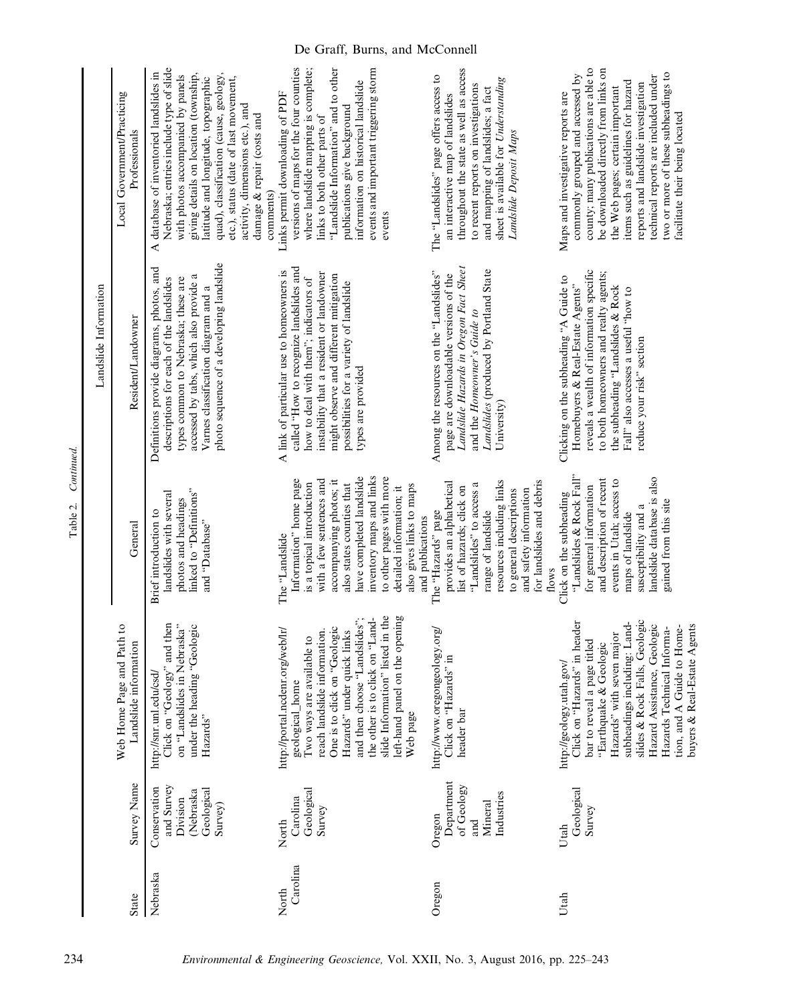|                       |                                                    |                                                                                                                                                                                                                                                                                                                                                                          | De Graff, Burns, and McConnell                                                                                                                                                                                                                                                                                                       |                                                                                                                                                                                                                                                                    |                                                                                                                                                                                                                                                                                                                                                                                            |
|-----------------------|----------------------------------------------------|--------------------------------------------------------------------------------------------------------------------------------------------------------------------------------------------------------------------------------------------------------------------------------------------------------------------------------------------------------------------------|--------------------------------------------------------------------------------------------------------------------------------------------------------------------------------------------------------------------------------------------------------------------------------------------------------------------------------------|--------------------------------------------------------------------------------------------------------------------------------------------------------------------------------------------------------------------------------------------------------------------|--------------------------------------------------------------------------------------------------------------------------------------------------------------------------------------------------------------------------------------------------------------------------------------------------------------------------------------------------------------------------------------------|
|                       | Local Government/Practicing<br>Professionals       | Nebraska; entries include type of slide<br>A database of inventoried landslides in<br>quad), classification (cause, geology,<br>giving details on location (township,<br>with photos accompanied by panels<br>latitude and longitude, topographic<br>etc.), status (date of last movement,<br>activity, dimensions etc.), and<br>damage & repair (costs and<br>comments) | versions of maps for the four counties<br>"Landslide Information" and to other<br>events and important triggering storm<br>where landslide mapping is complete;<br>information on historical landslide<br>Links permit downloading of PDF<br>publications give background<br>links to both other parts of<br>events                  | throughout the state as well as access<br>The "Landslides" page offers access to<br>sheet is available for Understanding<br>to recent reports on investigations<br>and mapping of landslides; a fact<br>an interactive map of landslides<br>Landslide Deposit Maps | county; many publications are able to<br>be downloaded directly from links on<br>two or more of these subheadings to<br>commonly grouped and accessed by<br>technical reports are included under<br>items such as guidelines for hazard<br>reports and landslide investigation<br>the Web pages; certain important<br>Maps and investigative reports are<br>facilitate their being located |
| Landslide Information | Resident/Landowner                                 | photo sequence of a developing landslide<br>Definitions provide diagrams, photos, and<br>accessed by tabs, which also provide a<br>types common to Nebraska; these are<br>descriptions for each of the landslides<br>Varnes classification diagram and a                                                                                                                 | called "How to recognize landslides and<br>A link of particular use to homeowners is<br>instability that a resident or landowner<br>might observe and different mitigation<br>how to deal with them"; indicators of<br>possibilities for a variety of landslide<br>types are provided                                                | Landslide Hazards in Oregon Fact Sheet<br>Landslides (produced by Portland State<br>Among the resources on the "Landslides"<br>page are downloadable versions of the<br>and the Homeowner's Guide to<br>University)                                                | reveals a wealth of information specific<br>to both homeowners and realty agents;<br>Clicking on the subheading "A Guide to<br>Homebuyers & Real-Estate Agents"<br>the subheading "Landslides & Rock<br>Fall" also accesses a useful "how to<br>reduce your risk" section                                                                                                                  |
|                       | General                                            | linked to "Definitions"<br>landslides with several<br>photos and headings<br>Brief introduction to<br>and "Database"                                                                                                                                                                                                                                                     | inventory maps and links<br>have completed landslide<br>to other pages with more<br>Information" home page<br>with a few sentences and<br>accompanying photos; it<br>is a topical introduction<br>also states counties that<br>also gives links to maps<br>detailed information; it<br>and publications<br>The "Landslide            | resources including links<br>for landslides and debris<br>provides an alphabetical<br>"Landslides" to access a<br>list of hazards; click on<br>and safety information<br>to general descriptions<br>range of landslide<br>The "Hazards" page<br>flows              | "Landslides & Rock Fall"<br>landslide database is also<br>and description of recent<br>events in Utah; access to<br>for general information<br>Click on the subheading<br>gained from this site<br>susceptibility and a<br>maps of landslide                                                                                                                                               |
|                       | Web Home Page and Path to<br>Landslide information | Click on "Geology" and then<br>on "Landslides in Nebraska"<br>under the heading "Geologic<br>http://snr.unl.edu/csd/<br>Hazards"                                                                                                                                                                                                                                         | left-hand panel on the opening<br>and then choose "Landslides";<br>the other is to click on "Land-<br>slide Information" listed in the<br>One is to click on "Geologic<br>http://portal.ncdenr.org/web/lr/<br>reach landslide information.<br>Hazards" under quick links<br>Two ways are available to<br>geological_home<br>Web page | http://www.oregongeology.org/<br>Click on "Hazards" in<br>header bar                                                                                                                                                                                               | slides & Rock Falls, Geologic<br>Click on "Hazards" in header<br>subheadings including: Land-<br>buyers & Real-Estate Agents<br>Hazard Assistance, Geologic<br>tion, and A Guide to Home-<br>Hazards Technical Informa-<br>Hazards" with seven major<br>bar to reveal a page titled<br>"Earthquake & Geologic<br>http://geology.utah.gov/                                                  |
|                       | Survey Name                                        | and Survey<br>Conservation<br>Geological<br>Nebraska<br>Division<br>Survey)                                                                                                                                                                                                                                                                                              | Geological<br>Carolina<br>Survey<br>North                                                                                                                                                                                                                                                                                            | Department<br>of Geology<br>Industries<br>Mineral<br>Oregon<br>and                                                                                                                                                                                                 | Geological<br>Survey<br>Utah                                                                                                                                                                                                                                                                                                                                                               |
|                       | State                                              | Nebraska                                                                                                                                                                                                                                                                                                                                                                 | Carolina<br>North                                                                                                                                                                                                                                                                                                                    | Oregon                                                                                                                                                                                                                                                             | Utah                                                                                                                                                                                                                                                                                                                                                                                       |

# Table 2. Continued. Table 2. Continued.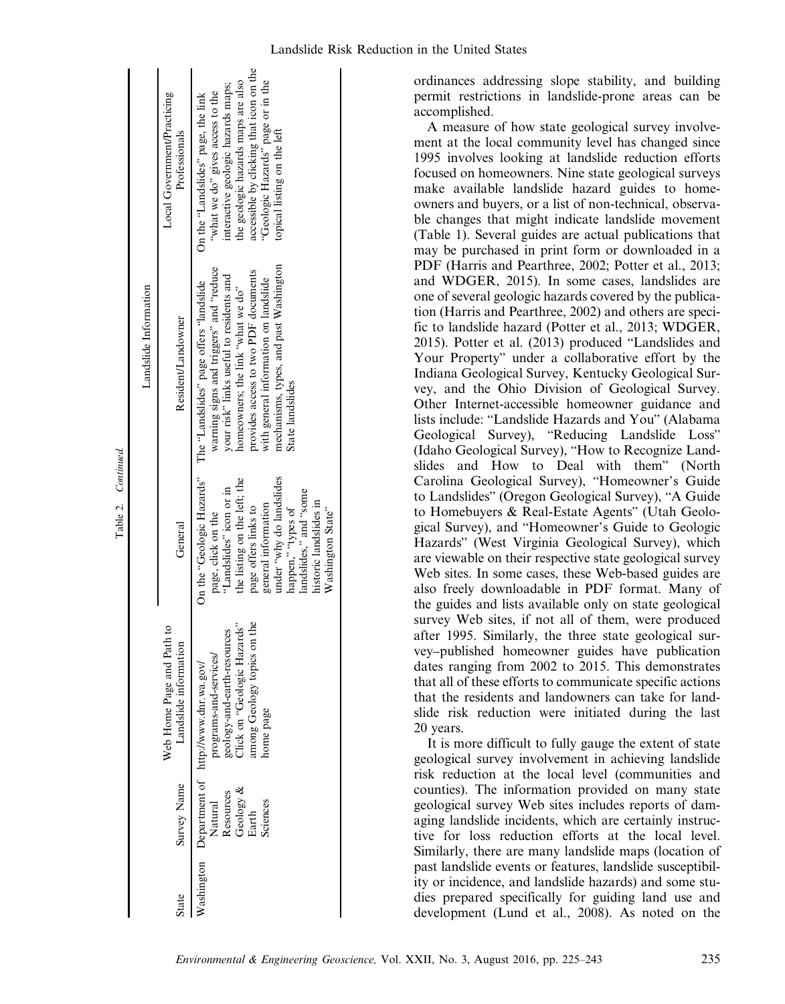| Landslide Risk Reduction in the United States |
|-----------------------------------------------|
|-----------------------------------------------|

|                       | Local Government/Practicing<br>Professionals       | accessible by clicking that icon on the<br>the geologic hazards maps are also<br>"Geologic Hazards" page or in the<br>interactive geologic hazards maps;<br>"what we do" gives access to the<br>On the "Landslides" page, the link<br>topical listing on the left                                                                            |
|-----------------------|----------------------------------------------------|----------------------------------------------------------------------------------------------------------------------------------------------------------------------------------------------------------------------------------------------------------------------------------------------------------------------------------------------|
| Landslide Information | Resident/Landowner                                 | mechanisms, types, and past Washington<br>warning signs and triggers" and "reduce<br>provides access to two PDF documents<br>your risk" links useful to residents and<br>with general information on landslide<br>On the "Geologic Hazards" The "Landslides" page offers "landslide<br>homeowners; the link "what we do"<br>State landslides |
|                       | General                                            | under "why do landslides<br>the listing on the left; the<br>"Landslides" icon or in<br>landslides," and "some<br>historic landslides in<br>general information<br>page offers links to<br>happen," "types of<br>Washington State"<br>page, click on the                                                                                      |
|                       | Web Home Page and Path to<br>Landslide information | among Geology topics on the<br>Click on "Geologic Hazards"<br>geology-and-earth-resources<br>programs-and-services/<br>Washington Department of http://www.dnr.wa.gov/<br>home page                                                                                                                                                          |
|                       | Survey Name                                        | Geology &<br>Resources<br>Natural<br>sciences<br>Earth                                                                                                                                                                                                                                                                                       |
|                       | State                                              |                                                                                                                                                                                                                                                                                                                                              |

Table 2. Continued.

Table 2. Continued.

ordinances addressing slope stability, and building permit restrictions in landslide-prone areas can be accomplished.

A measure of how state geological survey involvement at the local community level has changed since 1995 involves looking at landslide reduction efforts focused on homeowners. Nine state geological surveys make available landslide hazard guides to homeowners and buyers, or a list of non-technical, observable changes that might indicate landslide movement (Table 1). Several guides are actual publications that may be purchased in print form or downloaded in a PDF (Harris and Pearthree, 2002; Potter et al., 2013; and WDGER, 2015). In some cases, landslides are one of several geologic hazards covered by the publication (Harris and Pearthree, 2002) and others are specific to landslide hazard (Potter et al., 2013; WDGER, 2015). Potter et al. (2013) produced "Landslides and Your Property" under a collaborative effort by the Indiana Geological Survey, Kentucky Geological Survey, and the Ohio Division of Geological Survey. Other Internet-accessible homeowner guidance and lists include: "Landslide Hazards and You" (Alabama Geological Survey), "Reducing Landslide Loss" (Idaho Geological Survey), "How to Recognize Landslides and How to Deal with them" (North Carolina Geological Survey), "Homeowner's Guide to Landslides" (Oregon Geological Survey), "A Guide to Homebuyers & Real-Estate Agents" (Utah Geological Survey), and "Homeowner's Guide to Geologic Hazards" (West Virginia Geological Survey), which are viewable on their respective state geological survey Web sites. In some cases, these Web-based guides are also freely downloadable in PDF format. Many of the guides and lists available only on state geological survey Web sites, if not all of them, were produced after 1995. Similarly, the three state geological survey–published homeowner guides have publication dates ranging from 2002 to 2015. This demonstrates that all of these efforts to communicate specific actions that the residents and landowners can take for landslide risk reduction were initiated during the last 20 years.

It is more difficult to fully gauge the extent of state geological survey involvement in achieving landslide risk reduction at the local level (communities and counties). The information provided on many state geological survey Web sites includes reports of damaging landslide incidents, which are certainly instructive for loss reduction efforts at the local level. Similarly, there are many landslide maps (location of past landslide events or features, landslide susceptibility or incidence, and landslide hazards) and some studies prepared specifically for guiding land use and development (Lund et al., 2008). As noted on the

Environmental & Engineering Geoscience, Vol. XXII, No. 3, August 2016, pp. 225–243 235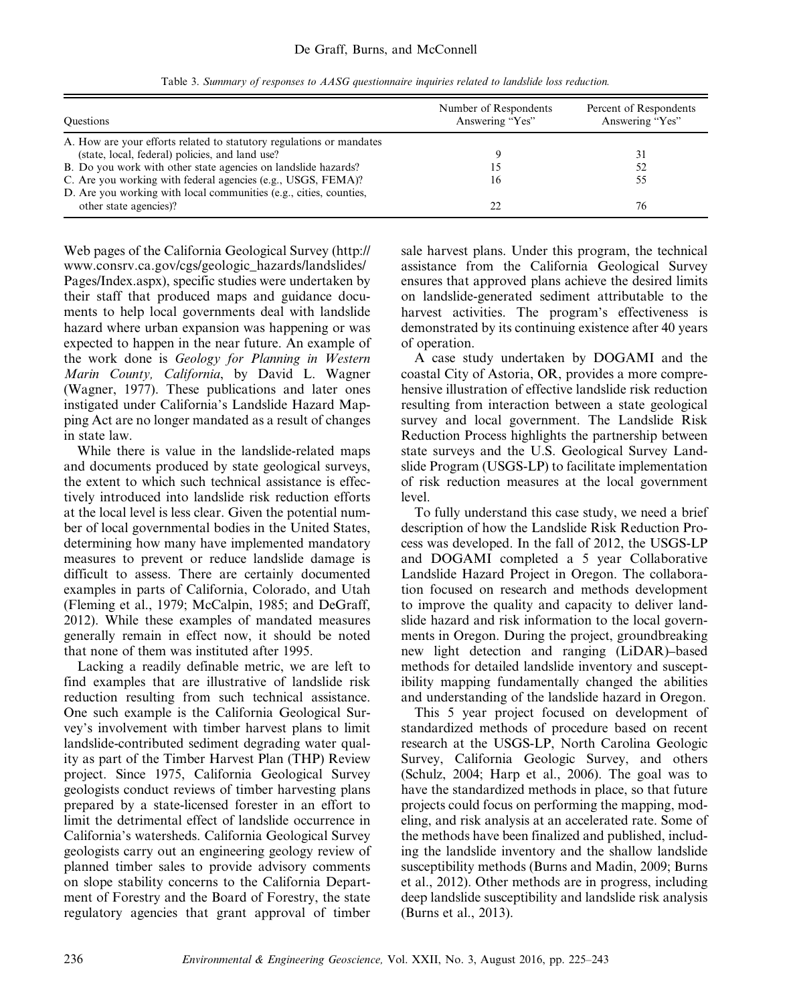| <b>Ouestions</b>                                                     | Number of Respondents<br>Answering "Yes" | Percent of Respondents<br>Answering "Yes" |
|----------------------------------------------------------------------|------------------------------------------|-------------------------------------------|
| A. How are your efforts related to statutory regulations or mandates |                                          |                                           |
| (state, local, federal) policies, and land use?                      |                                          | 31                                        |
| B. Do you work with other state agencies on landslide hazards?       | د.                                       | 52                                        |
| C. Are you working with federal agencies (e.g., USGS, FEMA)?         | 16                                       | 55                                        |
| D. Are you working with local communities (e.g., cities, counties,   |                                          |                                           |
| other state agencies)?                                               |                                          | 76                                        |

Table 3. Summary of responses to AASG questionnaire inquiries related to landslide loss reduction.

Web pages of the California Geological Survey (http:// www.consrv.ca.gov/cgs/geologic\_hazards/landslides/ Pages/Index.aspx), specific studies were undertaken by their staff that produced maps and guidance documents to help local governments deal with landslide hazard where urban expansion was happening or was expected to happen in the near future. An example of the work done is Geology for Planning in Western Marin County, California, by David L. Wagner (Wagner, 1977). These publications and later ones instigated under California's Landslide Hazard Mapping Act are no longer mandated as a result of changes in state law.

While there is value in the landslide-related maps and documents produced by state geological surveys, the extent to which such technical assistance is effectively introduced into landslide risk reduction efforts at the local level is less clear. Given the potential number of local governmental bodies in the United States, determining how many have implemented mandatory measures to prevent or reduce landslide damage is difficult to assess. There are certainly documented examples in parts of California, Colorado, and Utah (Fleming et al., 1979; McCalpin, 1985; and DeGraff, 2012). While these examples of mandated measures generally remain in effect now, it should be noted that none of them was instituted after 1995.

Lacking a readily definable metric, we are left to find examples that are illustrative of landslide risk reduction resulting from such technical assistance. One such example is the California Geological Survey's involvement with timber harvest plans to limit landslide-contributed sediment degrading water quality as part of the Timber Harvest Plan (THP) Review project. Since 1975, California Geological Survey geologists conduct reviews of timber harvesting plans prepared by a state-licensed forester in an effort to limit the detrimental effect of landslide occurrence in California's watersheds. California Geological Survey geologists carry out an engineering geology review of planned timber sales to provide advisory comments on slope stability concerns to the California Department of Forestry and the Board of Forestry, the state regulatory agencies that grant approval of timber sale harvest plans. Under this program, the technical assistance from the California Geological Survey ensures that approved plans achieve the desired limits on landslide-generated sediment attributable to the harvest activities. The program's effectiveness is demonstrated by its continuing existence after 40 years of operation.

A case study undertaken by DOGAMI and the coastal City of Astoria, OR, provides a more comprehensive illustration of effective landslide risk reduction resulting from interaction between a state geological survey and local government. The Landslide Risk Reduction Process highlights the partnership between state surveys and the U.S. Geological Survey Landslide Program (USGS-LP) to facilitate implementation of risk reduction measures at the local government level.

To fully understand this case study, we need a brief description of how the Landslide Risk Reduction Process was developed. In the fall of 2012, the USGS-LP and DOGAMI completed a 5 year Collaborative Landslide Hazard Project in Oregon. The collaboration focused on research and methods development to improve the quality and capacity to deliver landslide hazard and risk information to the local governments in Oregon. During the project, groundbreaking new light detection and ranging (LiDAR)–based methods for detailed landslide inventory and susceptibility mapping fundamentally changed the abilities and understanding of the landslide hazard in Oregon.

This 5 year project focused on development of standardized methods of procedure based on recent research at the USGS-LP, North Carolina Geologic Survey, California Geologic Survey, and others (Schulz, 2004; Harp et al., 2006). The goal was to have the standardized methods in place, so that future projects could focus on performing the mapping, modeling, and risk analysis at an accelerated rate. Some of the methods have been finalized and published, including the landslide inventory and the shallow landslide susceptibility methods (Burns and Madin, 2009; Burns et al., 2012). Other methods are in progress, including deep landslide susceptibility and landslide risk analysis (Burns et al., 2013).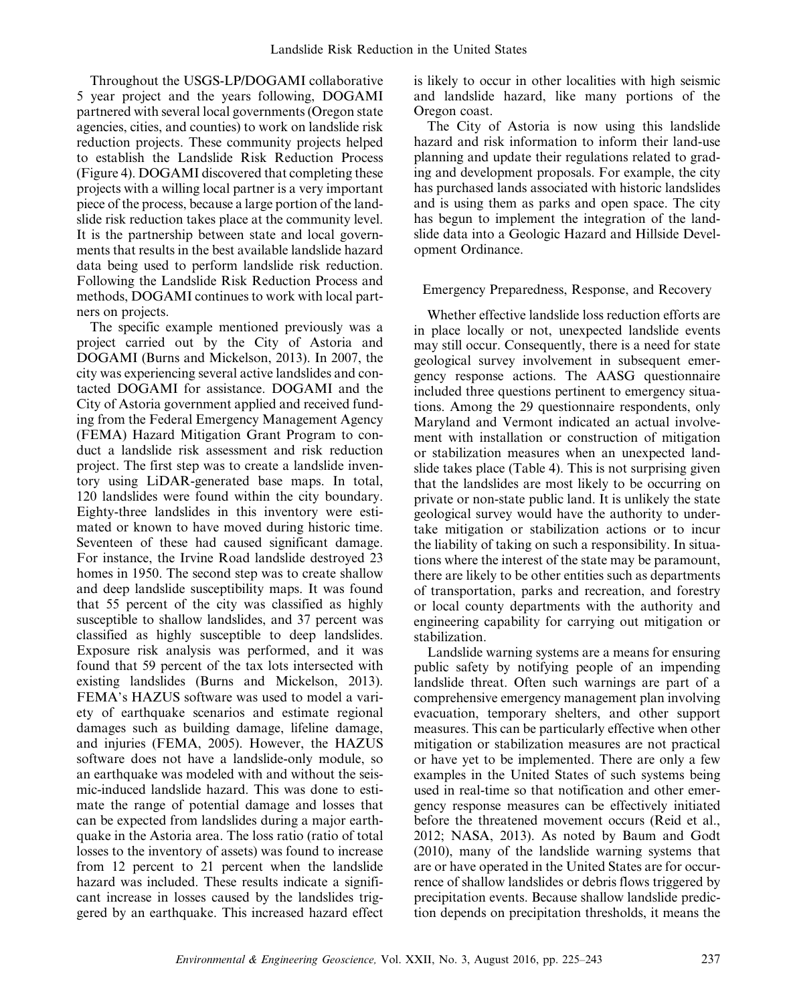Throughout the USGS-LP/DOGAMI collaborative 5 year project and the years following, DOGAMI partnered with several local governments (Oregon state agencies, cities, and counties) to work on landslide risk reduction projects. These community projects helped to establish the Landslide Risk Reduction Process (Figure 4). DOGAMI discovered that completing these projects with a willing local partner is a very important piece of the process, because a large portion of the landslide risk reduction takes place at the community level. It is the partnership between state and local governments that results in the best available landslide hazard data being used to perform landslide risk reduction. Following the Landslide Risk Reduction Process and methods, DOGAMI continues to work with local partners on projects.

The specific example mentioned previously was a project carried out by the City of Astoria and DOGAMI (Burns and Mickelson, 2013). In 2007, the city was experiencing several active landslides and contacted DOGAMI for assistance. DOGAMI and the City of Astoria government applied and received funding from the Federal Emergency Management Agency (FEMA) Hazard Mitigation Grant Program to conduct a landslide risk assessment and risk reduction project. The first step was to create a landslide inventory using LiDAR-generated base maps. In total, 120 landslides were found within the city boundary. Eighty-three landslides in this inventory were estimated or known to have moved during historic time. Seventeen of these had caused significant damage. For instance, the Irvine Road landslide destroyed 23 homes in 1950. The second step was to create shallow and deep landslide susceptibility maps. It was found that 55 percent of the city was classified as highly susceptible to shallow landslides, and 37 percent was classified as highly susceptible to deep landslides. Exposure risk analysis was performed, and it was found that 59 percent of the tax lots intersected with existing landslides (Burns and Mickelson, 2013). FEMA's HAZUS software was used to model a variety of earthquake scenarios and estimate regional damages such as building damage, lifeline damage, and injuries (FEMA, 2005). However, the HAZUS software does not have a landslide-only module, so an earthquake was modeled with and without the seismic-induced landslide hazard. This was done to estimate the range of potential damage and losses that can be expected from landslides during a major earthquake in the Astoria area. The loss ratio (ratio of total losses to the inventory of assets) was found to increase from 12 percent to 21 percent when the landslide hazard was included. These results indicate a significant increase in losses caused by the landslides triggered by an earthquake. This increased hazard effect is likely to occur in other localities with high seismic and landslide hazard, like many portions of the Oregon coast.

The City of Astoria is now using this landslide hazard and risk information to inform their land-use planning and update their regulations related to grading and development proposals. For example, the city has purchased lands associated with historic landslides and is using them as parks and open space. The city has begun to implement the integration of the landslide data into a Geologic Hazard and Hillside Development Ordinance.

# Emergency Preparedness, Response, and Recovery

Whether effective landslide loss reduction efforts are in place locally or not, unexpected landslide events may still occur. Consequently, there is a need for state geological survey involvement in subsequent emergency response actions. The AASG questionnaire included three questions pertinent to emergency situations. Among the 29 questionnaire respondents, only Maryland and Vermont indicated an actual involvement with installation or construction of mitigation or stabilization measures when an unexpected landslide takes place (Table 4). This is not surprising given that the landslides are most likely to be occurring on private or non-state public land. It is unlikely the state geological survey would have the authority to undertake mitigation or stabilization actions or to incur the liability of taking on such a responsibility. In situations where the interest of the state may be paramount, there are likely to be other entities such as departments of transportation, parks and recreation, and forestry or local county departments with the authority and engineering capability for carrying out mitigation or stabilization.

Landslide warning systems are a means for ensuring public safety by notifying people of an impending landslide threat. Often such warnings are part of a comprehensive emergency management plan involving evacuation, temporary shelters, and other support measures. This can be particularly effective when other mitigation or stabilization measures are not practical or have yet to be implemented. There are only a few examples in the United States of such systems being used in real-time so that notification and other emergency response measures can be effectively initiated before the threatened movement occurs (Reid et al., 2012; NASA, 2013). As noted by Baum and Godt (2010), many of the landslide warning systems that are or have operated in the United States are for occurrence of shallow landslides or debris flows triggered by precipitation events. Because shallow landslide prediction depends on precipitation thresholds, it means the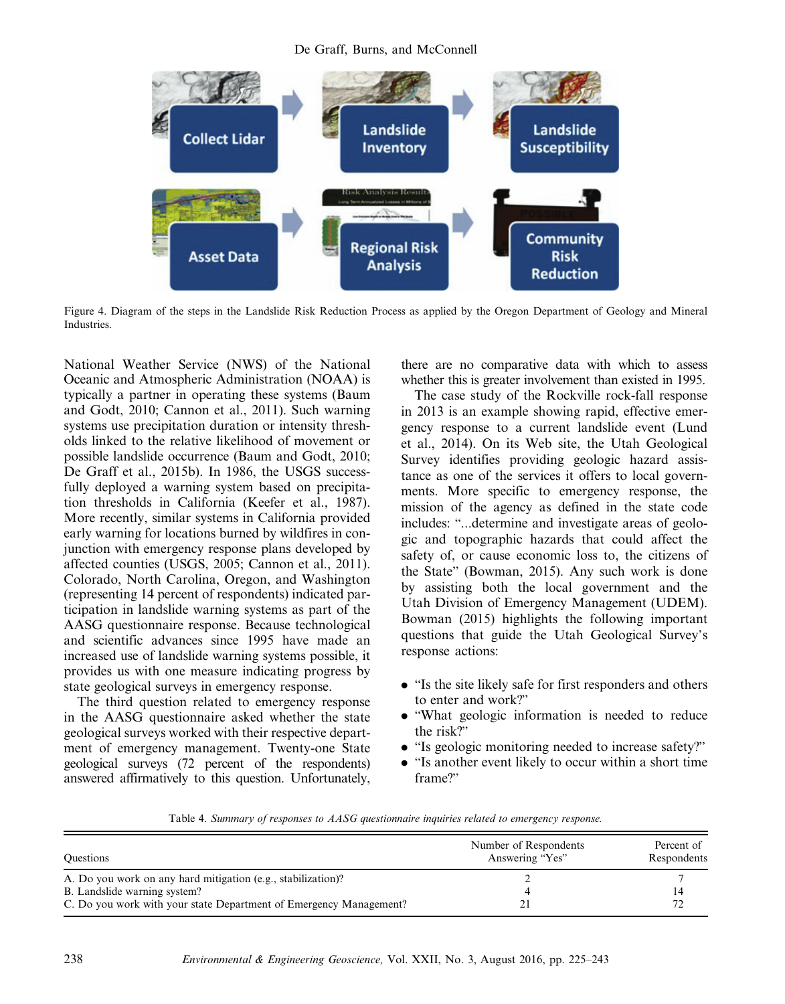#### De Graff, Burns, and McConnell



Figure 4. Diagram of the steps in the Landslide Risk Reduction Process as applied by the Oregon Department of Geology and Mineral Industries.

National Weather Service (NWS) of the National Oceanic and Atmospheric Administration (NOAA) is typically a partner in operating these systems (Baum and Godt, 2010; Cannon et al., 2011). Such warning systems use precipitation duration or intensity thresholds linked to the relative likelihood of movement or possible landslide occurrence (Baum and Godt, 2010; De Graff et al., 2015b). In 1986, the USGS successfully deployed a warning system based on precipitation thresholds in California (Keefer et al., 1987). More recently, similar systems in California provided early warning for locations burned by wildfires in conjunction with emergency response plans developed by affected counties (USGS, 2005; Cannon et al., 2011). Colorado, North Carolina, Oregon, and Washington (representing 14 percent of respondents) indicated participation in landslide warning systems as part of the AASG questionnaire response. Because technological and scientific advances since 1995 have made an increased use of landslide warning systems possible, it provides us with one measure indicating progress by state geological surveys in emergency response.

The third question related to emergency response in the AASG questionnaire asked whether the state geological surveys worked with their respective department of emergency management. Twenty-one State geological surveys (72 percent of the respondents) answered affirmatively to this question. Unfortunately,

there are no comparative data with which to assess whether this is greater involvement than existed in 1995.

The case study of the Rockville rock-fall response in 2013 is an example showing rapid, effective emergency response to a current landslide event (Lund et al., 2014). On its Web site, the Utah Geological Survey identifies providing geologic hazard assistance as one of the services it offers to local governments. More specific to emergency response, the mission of the agency as defined in the state code includes: "...determine and investigate areas of geologic and topographic hazards that could affect the safety of, or cause economic loss to, the citizens of the State" (Bowman, 2015). Any such work is done by assisting both the local government and the Utah Division of Emergency Management (UDEM). Bowman (2015) highlights the following important questions that guide the Utah Geological Survey's response actions:

- . "Is the site likely safe for first responders and others to enter and work?"
- . "What geologic information is needed to reduce the risk?"
- . "Is geologic monitoring needed to increase safety?"
- . "Is another event likely to occur within a short time frame?"

|  |  |  |  |  |  | Table 4. Summary of responses to AASG questionnaire inquiries related to emergency response. |  |  |  |  |  |
|--|--|--|--|--|--|----------------------------------------------------------------------------------------------|--|--|--|--|--|
|--|--|--|--|--|--|----------------------------------------------------------------------------------------------|--|--|--|--|--|

| <b>Questions</b>                                                   | Number of Respondents<br>Answering "Yes" | Percent of<br>Respondents |
|--------------------------------------------------------------------|------------------------------------------|---------------------------|
| A. Do you work on any hard mitigation (e.g., stabilization)?       |                                          |                           |
| B. Landslide warning system?                                       |                                          |                           |
| C. Do you work with your state Department of Emergency Management? |                                          |                           |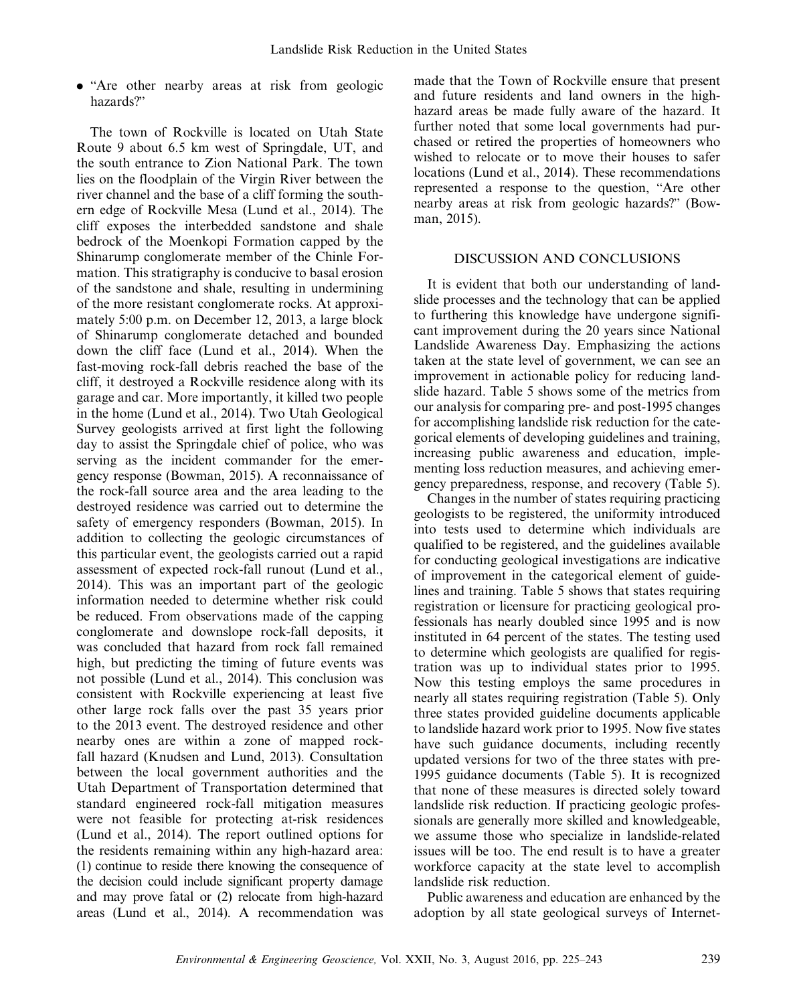. "Are other nearby areas at risk from geologic hazards?"

The town of Rockville is located on Utah State Route 9 about 6.5 km west of Springdale, UT, and the south entrance to Zion National Park. The town lies on the floodplain of the Virgin River between the river channel and the base of a cliff forming the southern edge of Rockville Mesa (Lund et al., 2014). The cliff exposes the interbedded sandstone and shale bedrock of the Moenkopi Formation capped by the Shinarump conglomerate member of the Chinle Formation. This stratigraphy is conducive to basal erosion of the sandstone and shale, resulting in undermining of the more resistant conglomerate rocks. At approximately 5:00 p.m. on December 12, 2013, a large block of Shinarump conglomerate detached and bounded down the cliff face (Lund et al., 2014). When the fast-moving rock-fall debris reached the base of the cliff, it destroyed a Rockville residence along with its garage and car. More importantly, it killed two people in the home (Lund et al., 2014). Two Utah Geological Survey geologists arrived at first light the following day to assist the Springdale chief of police, who was serving as the incident commander for the emergency response (Bowman, 2015). A reconnaissance of the rock-fall source area and the area leading to the destroyed residence was carried out to determine the safety of emergency responders (Bowman, 2015). In addition to collecting the geologic circumstances of this particular event, the geologists carried out a rapid assessment of expected rock-fall runout (Lund et al., 2014). This was an important part of the geologic information needed to determine whether risk could be reduced. From observations made of the capping conglomerate and downslope rock-fall deposits, it was concluded that hazard from rock fall remained high, but predicting the timing of future events was not possible (Lund et al., 2014). This conclusion was consistent with Rockville experiencing at least five other large rock falls over the past 35 years prior to the 2013 event. The destroyed residence and other nearby ones are within a zone of mapped rockfall hazard (Knudsen and Lund, 2013). Consultation between the local government authorities and the Utah Department of Transportation determined that standard engineered rock-fall mitigation measures were not feasible for protecting at-risk residences (Lund et al., 2014). The report outlined options for the residents remaining within any high-hazard area: (1) continue to reside there knowing the consequence of the decision could include significant property damage and may prove fatal or (2) relocate from high-hazard areas (Lund et al., 2014). A recommendation was

made that the Town of Rockville ensure that present and future residents and land owners in the highhazard areas be made fully aware of the hazard. It further noted that some local governments had purchased or retired the properties of homeowners who wished to relocate or to move their houses to safer locations (Lund et al., 2014). These recommendations represented a response to the question, "Are other nearby areas at risk from geologic hazards?" (Bowman, 2015).

#### DISCUSSION AND CONCLUSIONS

It is evident that both our understanding of landslide processes and the technology that can be applied to furthering this knowledge have undergone significant improvement during the 20 years since National Landslide Awareness Day. Emphasizing the actions taken at the state level of government, we can see an improvement in actionable policy for reducing landslide hazard. Table 5 shows some of the metrics from our analysis for comparing pre- and post-1995 changes for accomplishing landslide risk reduction for the categorical elements of developing guidelines and training, increasing public awareness and education, implementing loss reduction measures, and achieving emergency preparedness, response, and recovery (Table 5).

Changes in the number of states requiring practicing geologists to be registered, the uniformity introduced into tests used to determine which individuals are qualified to be registered, and the guidelines available for conducting geological investigations are indicative of improvement in the categorical element of guidelines and training. Table 5 shows that states requiring registration or licensure for practicing geological professionals has nearly doubled since 1995 and is now instituted in 64 percent of the states. The testing used to determine which geologists are qualified for registration was up to individual states prior to 1995. Now this testing employs the same procedures in nearly all states requiring registration (Table 5). Only three states provided guideline documents applicable to landslide hazard work prior to 1995. Now five states have such guidance documents, including recently updated versions for two of the three states with pre-1995 guidance documents (Table 5). It is recognized that none of these measures is directed solely toward landslide risk reduction. If practicing geologic professionals are generally more skilled and knowledgeable, we assume those who specialize in landslide-related issues will be too. The end result is to have a greater workforce capacity at the state level to accomplish landslide risk reduction.

Public awareness and education are enhanced by the adoption by all state geological surveys of Internet-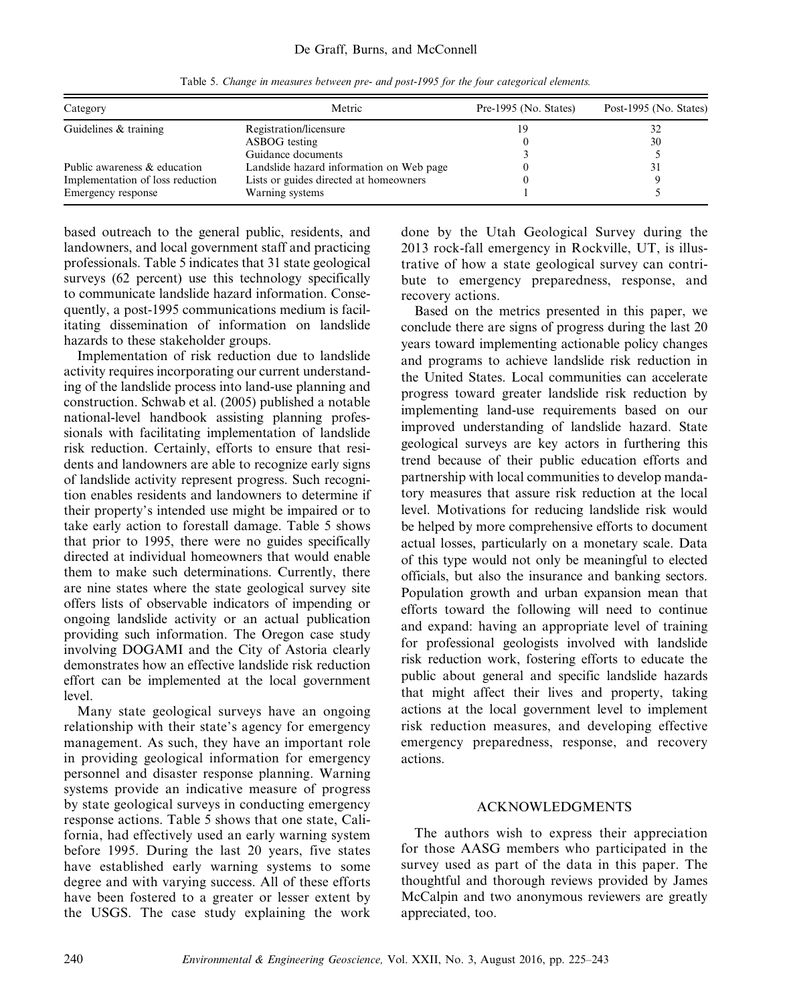| Category                         | Metric                                   | Pre-1995 (No. States) | Post-1995 (No. States) |
|----------------------------------|------------------------------------------|-----------------------|------------------------|
| Guidelines & training            | Registration/licensure                   | 19                    | 32                     |
|                                  | ASBOG testing                            |                       | 30                     |
|                                  | Guidance documents                       |                       |                        |
| Public awareness & education     | Landslide hazard information on Web page |                       | 31                     |
| Implementation of loss reduction | Lists or guides directed at homeowners   |                       |                        |
| Emergency response               | Warning systems                          |                       |                        |

Table 5. Change in measures between pre- and post-1995 for the four categorical elements.

based outreach to the general public, residents, and landowners, and local government staff and practicing professionals. Table 5 indicates that 31 state geological surveys (62 percent) use this technology specifically to communicate landslide hazard information. Consequently, a post-1995 communications medium is facilitating dissemination of information on landslide hazards to these stakeholder groups.

Implementation of risk reduction due to landslide activity requires incorporating our current understanding of the landslide process into land-use planning and construction. Schwab et al. (2005) published a notable national-level handbook assisting planning professionals with facilitating implementation of landslide risk reduction. Certainly, efforts to ensure that residents and landowners are able to recognize early signs of landslide activity represent progress. Such recognition enables residents and landowners to determine if their property's intended use might be impaired or to take early action to forestall damage. Table 5 shows that prior to 1995, there were no guides specifically directed at individual homeowners that would enable them to make such determinations. Currently, there are nine states where the state geological survey site offers lists of observable indicators of impending or ongoing landslide activity or an actual publication providing such information. The Oregon case study involving DOGAMI and the City of Astoria clearly demonstrates how an effective landslide risk reduction effort can be implemented at the local government level.

Many state geological surveys have an ongoing relationship with their state's agency for emergency management. As such, they have an important role in providing geological information for emergency personnel and disaster response planning. Warning systems provide an indicative measure of progress by state geological surveys in conducting emergency response actions. Table 5 shows that one state, California, had effectively used an early warning system before 1995. During the last 20 years, five states have established early warning systems to some degree and with varying success. All of these efforts have been fostered to a greater or lesser extent by the USGS. The case study explaining the work done by the Utah Geological Survey during the 2013 rock-fall emergency in Rockville, UT, is illustrative of how a state geological survey can contribute to emergency preparedness, response, and recovery actions.

Based on the metrics presented in this paper, we conclude there are signs of progress during the last 20 years toward implementing actionable policy changes and programs to achieve landslide risk reduction in the United States. Local communities can accelerate progress toward greater landslide risk reduction by implementing land-use requirements based on our improved understanding of landslide hazard. State geological surveys are key actors in furthering this trend because of their public education efforts and partnership with local communities to develop mandatory measures that assure risk reduction at the local level. Motivations for reducing landslide risk would be helped by more comprehensive efforts to document actual losses, particularly on a monetary scale. Data of this type would not only be meaningful to elected officials, but also the insurance and banking sectors. Population growth and urban expansion mean that efforts toward the following will need to continue and expand: having an appropriate level of training for professional geologists involved with landslide risk reduction work, fostering efforts to educate the public about general and specific landslide hazards that might affect their lives and property, taking actions at the local government level to implement risk reduction measures, and developing effective emergency preparedness, response, and recovery actions.

# ACKNOWLEDGMENTS

The authors wish to express their appreciation for those AASG members who participated in the survey used as part of the data in this paper. The thoughtful and thorough reviews provided by James McCalpin and two anonymous reviewers are greatly appreciated, too.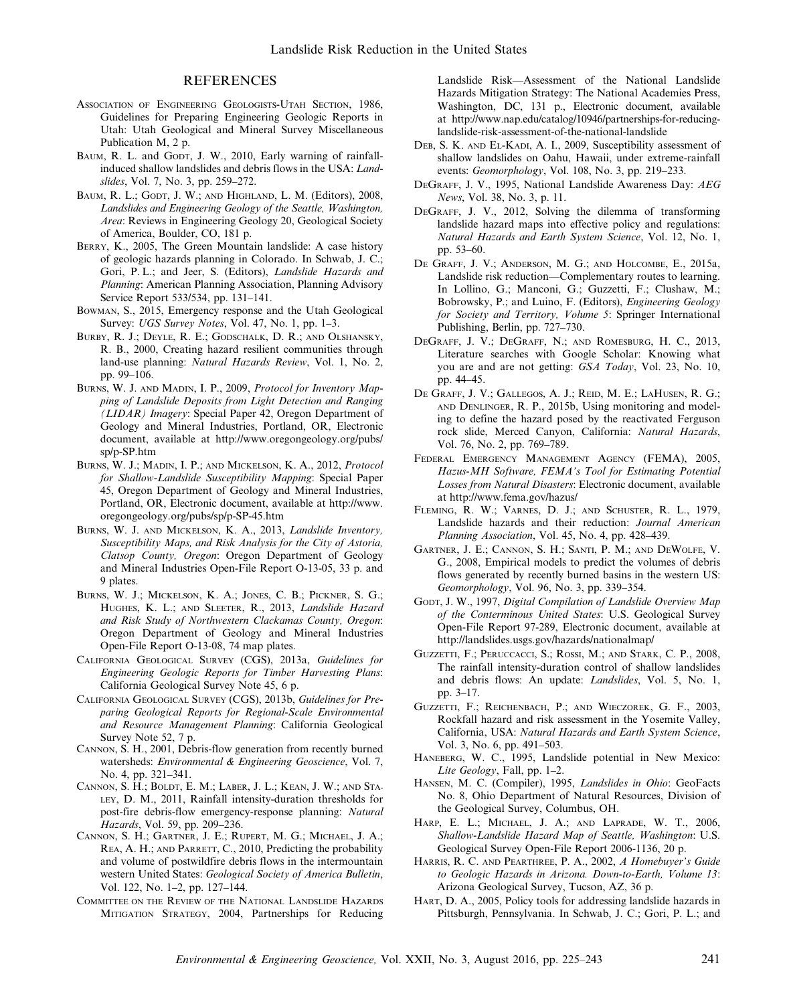#### **REFERENCES**

- ASSOCIATION OF ENGINEERING GEOLOGISTS-UTAH SECTION, 1986, Guidelines for Preparing Engineering Geologic Reports in Utah: Utah Geological and Mineral Survey Miscellaneous Publication M, 2 p.
- BAUM, R. L. and GODT, J. W., 2010, Early warning of rainfallinduced shallow landslides and debris flows in the USA: Landslides, Vol. 7, No. 3, pp. 259–272.
- BAUM, R. L.; GODT, J. W.; AND HIGHLAND, L. M. (Editors), 2008, Landslides and Engineering Geology of the Seattle, Washington, Area: Reviews in Engineering Geology 20, Geological Society of America, Boulder, CO, 181 p.
- BERRY, K., 2005, The Green Mountain landslide: A case history of geologic hazards planning in Colorado. In Schwab, J. C.; Gori, P. L.; and Jeer, S. (Editors), Landslide Hazards and Planning: American Planning Association, Planning Advisory Service Report 533/534, pp. 131–141.
- BOWMAN, S., 2015, Emergency response and the Utah Geological Survey: UGS Survey Notes, Vol. 47, No. 1, pp. 1–3.
- BURBY, R. J.; DEYLE, R. E.; GODSCHALK, D. R.; AND OLSHANSKY, R. B., 2000, Creating hazard resilient communities through land-use planning: Natural Hazards Review, Vol. 1, No. 2, pp. 99–106.
- BURNS, W. J. AND MADIN, I. P., 2009, Protocol for Inventory Mapping of Landslide Deposits from Light Detection and Ranging (LIDAR) Imagery: Special Paper 42, Oregon Department of Geology and Mineral Industries, Portland, OR, Electronic document, available at http://www.oregongeology.org/pubs/ sp/p-SP.htm
- BURNS, W. J.; MADIN, I. P.; AND MICKELSON, K. A., 2012, Protocol for Shallow-Landslide Susceptibility Mapping: Special Paper 45, Oregon Department of Geology and Mineral Industries, Portland, OR, Electronic document, available at http://www. oregongeology.org/pubs/sp/p-SP-45.htm
- BURNS, W. J. AND MICKELSON, K. A., 2013, Landslide Inventory, Susceptibility Maps, and Risk Analysis for the City of Astoria, Clatsop County, Oregon: Oregon Department of Geology and Mineral Industries Open-File Report O-13-05, 33 p. and 9 plates.
- BURNS, W. J.; MICKELSON, K. A.; JONES, C. B.; PICKNER, S. G.; HUGHES, K. L.; AND SLEETER, R., 2013, Landslide Hazard and Risk Study of Northwestern Clackamas County, Oregon: Oregon Department of Geology and Mineral Industries Open-File Report O-13-08, 74 map plates.
- CALIFORNIA GEOLOGICAL SURVEY (CGS), 2013a, Guidelines for Engineering Geologic Reports for Timber Harvesting Plans: California Geological Survey Note 45, 6 p.
- CALIFORNIA GEOLOGICAL SURVEY (CGS), 2013b, Guidelines for Preparing Geological Reports for Regional-Scale Environmental and Resource Management Planning: California Geological Survey Note 52, 7 p.
- CANNON, S. H., 2001, Debris-flow generation from recently burned watersheds: Environmental & Engineering Geoscience, Vol. 7, No. 4, pp. 321–341.
- CANNON, S. H.; BOLDT, E. M.; LABER, J. L.; KEAN, J. W.; AND STA-LEY, D. M., 2011, Rainfall intensity-duration thresholds for post-fire debris-flow emergency-response planning: Natural Hazards, Vol. 59, pp. 209–236.
- CANNON, S. H.; GARTNER, J. E.; RUPERT, M. G.; MICHAEL, J. A.; REA, A. H.; AND PARRETT, C., 2010, Predicting the probability and volume of postwildfire debris flows in the intermountain western United States: Geological Society of America Bulletin, Vol. 122, No. 1–2, pp. 127–144.
- COMMITTEE ON THE REVIEW OF THE NATIONAL LANDSLIDE HAZARDS MITIGATION STRATEGY, 2004, Partnerships for Reducing

Landslide Risk—Assessment of the National Landslide Hazards Mitigation Strategy: The National Academies Press, Washington, DC, 131 p., Electronic document, available at http://www.nap.edu/catalog/10946/partnerships-for-reducinglandslide-risk-assessment-of-the-national-landslide

- DEB, S. K. AND EL-KADI, A. I., 2009, Susceptibility assessment of shallow landslides on Oahu, Hawaii, under extreme-rainfall events: Geomorphology, Vol. 108, No. 3, pp. 219–233.
- DEGRAFF, J. V., 1995, National Landslide Awareness Day: AEG News, Vol. 38, No. 3, p. 11.
- DEGRAFF, J. V., 2012, Solving the dilemma of transforming landslide hazard maps into effective policy and regulations: Natural Hazards and Earth System Science, Vol. 12, No. 1, pp. 53–60.
- DE GRAFF, J. V.; ANDERSON, M. G.; AND HOLCOMBE, E., 2015a, Landslide risk reduction—Complementary routes to learning. In Lollino, G.; Manconi, G.; Guzzetti, F.; Clushaw, M.; Bobrowsky, P.; and Luino, F. (Editors), Engineering Geology for Society and Territory, Volume 5: Springer International Publishing, Berlin, pp. 727–730.
- DEGRAFF, J. V.; DEGRAFF, N.; AND ROMESBURG, H. C., 2013, Literature searches with Google Scholar: Knowing what you are and are not getting: GSA Today, Vol. 23, No. 10, pp. 44–45.
- DE GRAFF, J. V.; GALLEGOS, A. J.; REID, M. E.; LAHUSEN, R. G.; AND DENLINGER, R. P., 2015b, Using monitoring and modeling to define the hazard posed by the reactivated Ferguson rock slide, Merced Canyon, California: Natural Hazards, Vol. 76, No. 2, pp. 769–789.
- FEDERAL EMERGENCY MANAGEMENT AGENCY (FEMA), 2005, Hazus-MH Software, FEMA's Tool for Estimating Potential Losses from Natural Disasters: Electronic document, available at http://www.fema.gov/hazus/
- FLEMING, R. W.; VARNES, D. J.; AND SCHUSTER, R. L., 1979, Landslide hazards and their reduction: Journal American Planning Association, Vol. 45, No. 4, pp. 428–439.
- GARTNER, J. E.; CANNON, S. H.; SANTI, P. M.; AND DEWOLFE, V. G., 2008, Empirical models to predict the volumes of debris flows generated by recently burned basins in the western US: Geomorphology, Vol. 96, No. 3, pp. 339–354.
- GODT, J. W., 1997, Digital Compilation of Landslide Overview Map of the Conterminous United States: U.S. Geological Survey Open-File Report 97-289, Electronic document, available at http://landslides.usgs.gov/hazards/nationalmap/
- GUZZETTI, F.; PERUCCACCI, S.; ROSSI, M.; AND STARK, C. P., 2008, The rainfall intensity-duration control of shallow landslides and debris flows: An update: Landslides, Vol. 5, No. 1, pp. 3–17.
- GUZZETTI, F.; REICHENBACH, P.; AND WIECZOREK, G. F., 2003, Rockfall hazard and risk assessment in the Yosemite Valley, California, USA: Natural Hazards and Earth System Science, Vol. 3, No. 6, pp. 491–503.
- HANEBERG, W. C., 1995, Landslide potential in New Mexico: Lite Geology, Fall, pp. 1–2.
- HANSEN, M. C. (Compiler), 1995, Landslides in Ohio: GeoFacts No. 8, Ohio Department of Natural Resources, Division of the Geological Survey, Columbus, OH.
- HARP, E. L.; MICHAEL, J. A.; AND LAPRADE, W. T., 2006, Shallow-Landslide Hazard Map of Seattle, Washington: U.S. Geological Survey Open-File Report 2006-1136, 20 p.
- HARRIS, R. C. AND PEARTHREE, P. A., 2002, A Homebuyer's Guide to Geologic Hazards in Arizona. Down-to-Earth, Volume 13: Arizona Geological Survey, Tucson, AZ, 36 p.
- HART, D. A., 2005, Policy tools for addressing landslide hazards in Pittsburgh, Pennsylvania. In Schwab, J. C.; Gori, P. L.; and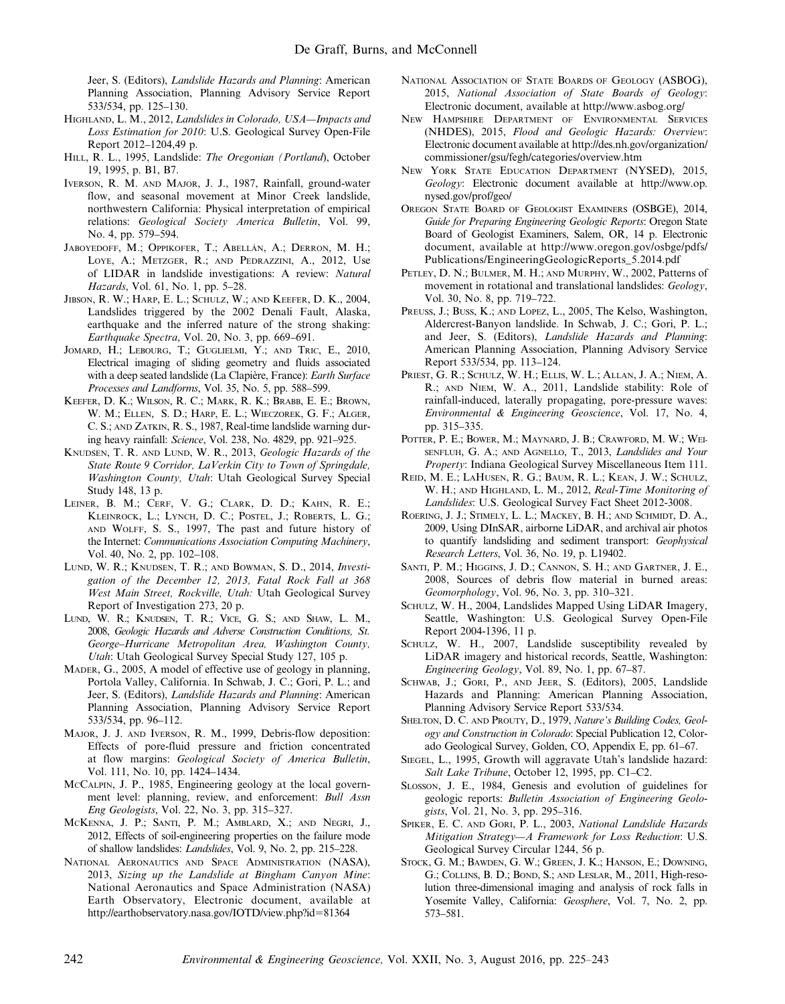Jeer, S. (Editors), Landslide Hazards and Planning: American Planning Association, Planning Advisory Service Report 533/534, pp. 125–130.

- HIGHLAND, L. M., 2012, Landslides in Colorado, USA—Impacts and Loss Estimation for 2010: U.S. Geological Survey Open-File Report 2012–1204,49 p.
- HILL, R. L., 1995, Landslide: The Oregonian (Portland), October 19, 1995, p. B1, B7.
- IVERSON, R. M. AND MAJOR, J. J., 1987, Rainfall, ground-water flow, and seasonal movement at Minor Creek landslide, northwestern California: Physical interpretation of empirical relations: Geological Society America Bulletin, Vol. 99, No. 4, pp. 579–594.
- JABOYEDOFF, M.; OPPIKOFER, T.; ABELLÁN, A.; DERRON, M. H.; LOYE, A.; METZGER, R.; AND PEDRAZZINI, A., 2012, Use of LIDAR in landslide investigations: A review: Natural Hazards, Vol. 61, No. 1, pp. 5–28.
- JIBSON, R. W.; HARP, E. L.; SCHULZ, W.; AND KEEFER, D. K., 2004, Landslides triggered by the 2002 Denali Fault, Alaska, earthquake and the inferred nature of the strong shaking: Earthquake Spectra, Vol. 20, No. 3, pp. 669–691.
- JOMARD, H.; LEBOURG, T.; GUGLIELMI, Y.; AND TRIC, E., 2010, Electrical imaging of sliding geometry and fluids associated with a deep seated landslide (La Clapière, France): Earth Surface Processes and Landforms, Vol. 35, No. 5, pp. 588–599.
- KEEFER, D. K.; WILSON, R. C.; MARK, R. K.; BRABB, E. E.; BROWN, W. M.; ELLEN, S. D.; HARP, E. L.; WIECZOREK, G. F.; ALGER, C. S.; AND ZATKIN, R. S., 1987, Real-time landslide warning during heavy rainfall: Science, Vol. 238, No. 4829, pp. 921–925.
- KNUDSEN, T. R. AND LUND, W. R., 2013, Geologic Hazards of the State Route 9 Corridor, LaVerkin City to Town of Springdale, Washington County, Utah: Utah Geological Survey Special Study 148, 13 p.
- LEINER, B. M.; CERF, V. G.; CLARK, D. D.; KAHN, R. E.; KLEINROCK, L.; LYNCH, D. C.; POSTEL, J.; ROBERTS, L. G.; AND WOLFF, S. S., 1997, The past and future history of the Internet: Communications Association Computing Machinery, Vol. 40, No. 2, pp. 102–108.
- LUND, W. R.; KNUDSEN, T. R.; AND BOWMAN, S. D., 2014, Investigation of the December 12, 2013, Fatal Rock Fall at 368 West Main Street, Rockville, Utah: Utah Geological Survey Report of Investigation 273, 20 p.
- LUND, W. R.; KNUDSEN, T. R.; VICE, G. S.; AND SHAW, L. M., 2008, Geologic Hazards and Adverse Construction Conditions, St. George–Hurricane Metropolitan Area, Washington County, Utah: Utah Geological Survey Special Study 127, 105 p.
- MADER, G., 2005, A model of effective use of geology in planning, Portola Valley, California. In Schwab, J. C.; Gori, P. L.; and Jeer, S. (Editors), Landslide Hazards and Planning: American Planning Association, Planning Advisory Service Report 533/534, pp. 96–112.
- MAJOR, J. J. AND IVERSON, R. M., 1999, Debris-flow deposition: Effects of pore-fluid pressure and friction concentrated at flow margins: Geological Society of America Bulletin, Vol. 111, No. 10, pp. 1424–1434.
- MCCALPIN, J. P., 1985, Engineering geology at the local government level: planning, review, and enforcement: Bull Assn Eng Geologists, Vol. 22, No. 3, pp. 315–327.
- MCKENNA, J. P.; SANTI, P. M.; AMBLARD, X.; AND NEGRI, J., 2012, Effects of soil-engineering properties on the failure mode of shallow landslides: Landslides, Vol. 9, No. 2, pp. 215–228.
- NATIONAL AERONAUTICS AND SPACE ADMINISTRATION (NASA), 2013, Sizing up the Landslide at Bingham Canyon Mine: National Aeronautics and Space Administration (NASA) Earth Observatory, Electronic document, available at http://earthobservatory.nasa.gov/IOTD/view.php?id=81364
- NATIONAL ASSOCIATION OF STATE BOARDS OF GEOLOGY (ASBOG), 2015, National Association of State Boards of Geology: Electronic document, available at http://www.asbog.org/
- NEW HAMPSHIRE DEPARTMENT OF ENVIRONMENTAL SERVICES (NHDES), 2015, Flood and Geologic Hazards: Overview: Electronic document available at http://des.nh.gov/organization/ commissioner/gsu/fegh/categories/overview.htm
- NEW YORK STATE EDUCATION DEPARTMENT (NYSED), 2015, Geology: Electronic document available at http://www.op. nysed.gov/prof/geo/
- OREGON STATE BOARD OF GEOLOGIST EXAMINERS (OSBGE), 2014, Guide for Preparing Engineering Geologic Reports: Oregon State Board of Geologist Examiners, Salem, OR, 14 p. Electronic document, available at http://www.oregon.gov/osbge/pdfs/ Publications/EngineeringGeologicReports\_5.2014.pdf
- PETLEY, D. N.; BULMER, M. H.; AND MURPHY, W., 2002, Patterns of movement in rotational and translational landslides: Geology, Vol. 30, No. 8, pp. 719–722.
- PREUSS, J.; BUSS, K.; AND LOPEZ, L., 2005, The Kelso, Washington, Aldercrest-Banyon landslide. In Schwab, J. C.; Gori, P. L.; and Jeer, S. (Editors), Landslide Hazards and Planning: American Planning Association, Planning Advisory Service Report 533/534, pp. 113–124.
- PRIEST, G. R.; SCHULZ, W. H.; ELLIS, W. L.; ALLAN, J. A.; NIEM, A. R.; AND NIEM, W. A., 2011, Landslide stability: Role of rainfall-induced, laterally propagating, pore-pressure waves: Environmental & Engineering Geoscience, Vol. 17, No. 4, pp. 315–335.
- POTTER, P. E.; BOWER, M.; MAYNARD, J. B.; CRAWFORD, M. W.; WEI-SENFLUH, G. A.; AND AGNELLO, T., 2013, Landslides and Your Property: Indiana Geological Survey Miscellaneous Item 111.
- REID, M. E.; LAHUSEN, R. G.; BAUM, R. L.; KEAN, J. W.; SCHULZ, W. H.; AND HIGHLAND, L. M., 2012, Real-Time Monitoring of Landslides: U.S. Geological Survey Fact Sheet 2012-3008.
- ROERING, J. J.; STIMELY, L. L.; MACKEY, B. H.; AND SCHMIDT, D. A., 2009, Using DInSAR, airborne LiDAR, and archival air photos to quantify landsliding and sediment transport: Geophysical Research Letters, Vol. 36, No. 19, p. L19402.
- SANTI, P. M.; HIGGINS, J. D.; CANNON, S. H.; AND GARTNER, J. E., 2008, Sources of debris flow material in burned areas: Geomorphology, Vol. 96, No. 3, pp. 310–321.
- SCHULZ, W. H., 2004, Landslides Mapped Using LiDAR Imagery, Seattle, Washington: U.S. Geological Survey Open-File Report 2004-1396, 11 p.
- SCHULZ, W. H., 2007, Landslide susceptibility revealed by LiDAR imagery and historical records, Seattle, Washington: Engineering Geology, Vol. 89, No. 1, pp. 67–87.
- SCHWAB, J.; GORI, P., AND JEER, S. (Editors), 2005, Landslide Hazards and Planning: American Planning Association, Planning Advisory Service Report 533/534.
- SHELTON, D. C. AND PROUTY, D., 1979, Nature's Building Codes, Geology and Construction in Colorado: Special Publication 12, Colorado Geological Survey, Golden, CO, Appendix E, pp. 61–67.
- SIEGEL, L., 1995, Growth will aggravate Utah's landslide hazard: Salt Lake Tribune, October 12, 1995, pp. C1–C2.
- SLOSSON, J. E., 1984, Genesis and evolution of guidelines for geologic reports: Bulletin Association of Engineering Geologists, Vol. 21, No. 3, pp. 295–316.
- SPIKER, E. C. AND GORI, P. L., 2003, National Landslide Hazards Mitigation Strategy—A Framework for Loss Reduction: U.S. Geological Survey Circular 1244, 56 p.
- STOCK, G. M.; BAWDEN, G. W.; GREEN, J. K.; HANSON, E.; DOWNING, G.; COLLINS, B. D.; BOND, S.; AND LESLAR, M., 2011, High-resolution three-dimensional imaging and analysis of rock falls in Yosemite Valley, California: Geosphere, Vol. 7, No. 2, pp. 573–581.